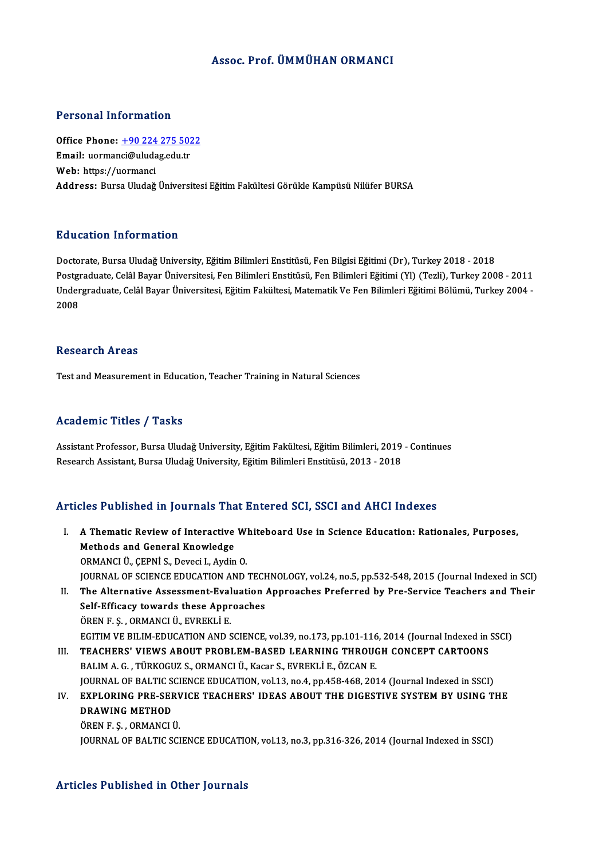#### Assoc. Prof. ÜMMÜHAN ORMANCI

#### Personal Information

Office Phone: +90 224 275 5022 Processian and Chinacton<br>Office Phone: <u>+90 224 275 502</u><br>Email: uorman[ci@uludag.edu.tr](tel:+90 224 275 5022) Office Phone: <u>+90 224</u><br>Email: uormanci@uluda<br>Web: https://uormanci Web: https://uormanci<br>Address: Bursa Uludağ Üniversitesi Eğitim Fakültesi Görükle Kampüsü Nilüfer BURSA

#### Education Information

Doctorate, Bursa Uludağ University, Eğitim Bilimleri Enstitüsü, Fen Bilgisi Eğitimi (Dr), Turkey 2018 - 2018 Postgraduate, Celâl Bayar Üniversitesi, Fen Bilimleri Enstitüsü, Fen Bilimleri Eğitimi (Yl) (Tezli), Turkey 2008 - 2011 Doctorate, Bursa Uludağ University, Eğitim Bilimleri Enstitüsü, Fen Bilgisi Eğitimi (Dr), Turkey 2018 - 2018<br>Postgraduate, Celâl Bayar Üniversitesi, Fen Bilimleri Enstitüsü, Fen Bilimleri Eğitimi (Yl) (Tezli), Turkey 2008 Postgi<br>Under<br>2008 2008<br>Research Areas

Test and Measurement in Education, Teacher Training in Natural Sciences

#### Academic Titles / Tasks

Assistant Professor, Bursa Uludağ University, Eğitim Fakültesi, Eğitim Bilimleri, 2019 - Continues Research Assistant, Bursa Uludağ University, Eğitim Bilimleri Enstitüsü, 2013 - 2018

#### Articles Published in Journals That Entered SCI, SSCI and AHCI Indexes

rticles Published in Journals That Entered SCI, SSCI and AHCI Indexes<br>I. A Thematic Review of Interactive Whiteboard Use in Science Education: Rationales, Purposes,<br>Mathods and Conoral Enewledge Methods and General Knowledge<br>Methods and General Knowledge<br>OPMANCLÜ CEPNUS Dovesi LAydin Methods and General Knowledge<br>ORMANCI Ü., ÇEPNİ S., Deveci I., Aydin O. Methods and General Knowledge<br>ORMANCI Ü., ÇEPNİ S., Deveci I., Aydin O.<br>JOURNAL OF SCIENCE EDUCATION AND TECHNOLOGY, vol.24, no.5, pp.532-548, 2015 (Journal Indexed in SCI)<br>The Alternative Assessment Eveluation Annuesches ORMANCI Ü., ÇEPNİ S., Deveci I., Aydin O.<br>I . JOURNAL OF SCIENCE EDUCATION AND TECHNOLOGY, vol.24, no.5, pp.532-548, 2015 (Journal Indexed in SCI)<br>II. The Alternative Assessment-Evaluation Approaches Preferred by Pre-Servi SOURNAL OF SCIENCE EDUCATION AND TECH<br>The Alternative Assessment-Evaluation<br>Self-Efficacy towards these Approaches<br>ÖPEN E.S. OPMANCLÜ, EVPEVLI E II. The Alternative Assessment-Evaluation Approaches Preferred by Pre-Service Teachers and Their<br>Self-Efficacy towards these Approaches<br>ÖREN F. S. , ORMANCI Ü., EVREKLİ E. EGITIM VE BILIM-EDUCATION AND SCIENCE, vol.39, no.173, pp.101-116, 2014 (Journal Indexed in SSCI) ÖREN F. Ş. , ORMANCI Ü., EVREKLİ E.<br>II. TEACHERS' VIEWS ABOUT PROBLEM-BASED LEARNING THROUGH CONCEPT CARTOONS<br>BALIM A. C. TÜRKOCUZ S. ORMANCLÜ, Kasar S. EVREKLİ E. ÖZCAN E EGITIM VE BILIM-EDUCATION AND SCIENCE, vol.39, no.173, pp.101-116<br>TEACHERS' VIEWS ABOUT PROBLEM-BASED LEARNING THROUC<br>BALIM A. G. , TÜRKOGUZ S., ORMANCI Ü., Kacar S., EVREKLİ E., ÖZCAN E.<br>JOUPMAL OF PALTIC SCIENCE EDUCATIO TEACHERS' VIEWS ABOUT PROBLEM-BASED LEARNING THROUGH CONCEPT CARTOONS<br>BALIM A. G. , TÜRKOGUZ S., ORMANCI Ü., Kacar S., EVREKLİ E., ÖZCAN E.<br>JOURNAL OF BALTIC SCIENCE EDUCATION, vol.13, no.4, pp.458-468, 2014 (Journal Index BALIM A. G. , TÜRKOGUZ S., ORMANCI Ü., Kacar S., EVREKLİ E., ÖZCAN E.<br>JOURNAL OF BALTIC SCIENCE EDUCATION, vol.13, no.4, pp.458-468, 2014 (Journal Indexed in SSCI)<br>IV. EXPLORING PRE-SERVICE TEACHERS' IDEAS ABOUT THE DIGEST **JOURNAL OF BALTIC S<br>EXPLORING PRE-SEF<br>DRAWING METHOD<br>ÖPENE S. OPMANCLI** <mark>EXPLORING PRE-SERV<br>DRAWING METHOD</mark><br>ÖREN F. Ş. , ORMANCI Ü.<br>JOUPNAL OF PALTIC SCI DRAWING METHOD<br>ÖREN F. Ş. , ORMANCI Ü.<br>JOURNAL OF BALTIC SCIENCE EDUCATION, vol.13, no.3, pp.316-326, 2014 (Journal Indexed in SSCI)

#### Articles Published in Other Journals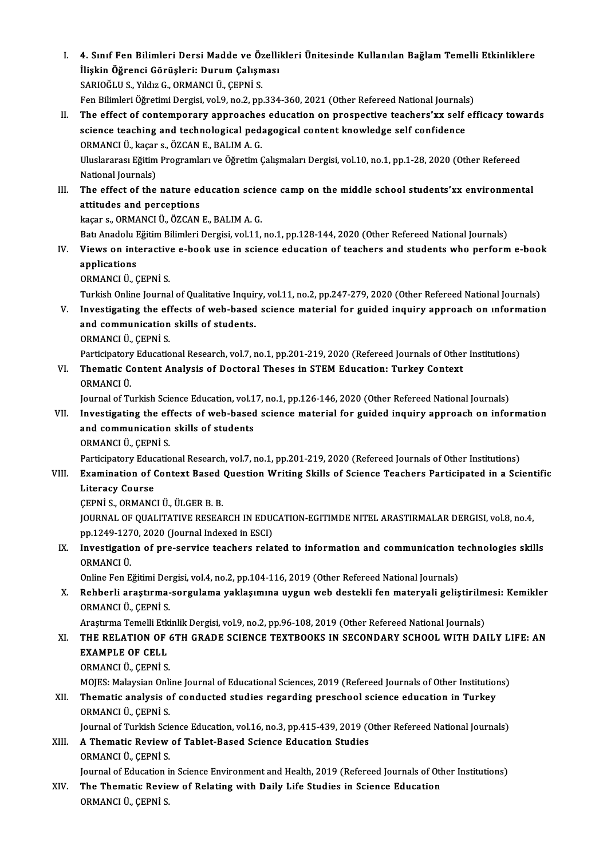- I. 4. Sınıf Fen Bilimleri Dersi Madde ve Özellikleri Ünitesinde Kullanılan Bağlam Temelli Etkinliklere<br>İlişkin Öğrengi Cönüsleri: Durum Celtamaeı 4. Sınıf Fen Bilimleri Dersi Madde ve Özelli<br>İlişkin Öğrenci Görüşleri: Durum Çalışması<br>SARIQĞLU S. Yıldız G. QRMANÇLÜ, CEPNİ S 4. Sınıf Fen Bilimleri Dersi Madde ve Öz<br>İlişkin Öğrenci Görüşleri: Durum Çalışm<br>SARIOĞLU S., Yıldız G., ORMANCI Ü., ÇEPNİ S.<br>Fen Bilimleri Öğretimi Dergisi vel 9. no 3. nn İlişkin Öğrenci Görüşleri: Durum Çalışması<br>SARIOĞLU S., Yıldız G., ORMANCI Ü., ÇEPNİ S.<br>Fen Bilimleri Öğretimi Dergisi, vol.9, no.2, pp.334-360, 2021 (Other Refereed National Journals)<br>The effect of sentemneneny ennneaches SARIOĞLU S., Yıldız G., ORMANCI Ü., ÇEPNİ S.<br>Fen Bilimleri Öğretimi Dergisi, vol.9, no.2, pp.334-360, 2021 (Other Refereed National Journals)<br>II. The effect of contemporary approaches education on prospective teachers'xx s Fen Bilimleri Öğretimi Dergisi, vol.9, no.2, pp.334-360, 2021 (Other Refereed National Journals<br>The effect of contemporary approaches education on prospective teachers'xx self<br>science teaching and technological pedagogical The effect of contemporary approaches<br>science teaching and technological ped:<br>ORMANCI Ü., kaçar s., ÖZCAN E., BALIM A. G.<br>Uluslarares: Eğitim Brogramları ve Öğretim ( Uluslararası Eğitim Programları ve Öğretim Çalışmaları Dergisi, vol.10, no.1, pp.1-28, 2020 (Other Refereed National Journals) ORMANCI Ü., kaçar<br>Uluslararası Eğitim<br>National Journals)<br>The effect of the Uluslararası Eğitim Programları ve Öğretim Çalışmaları Dergisi, vol.10, no.1, pp.1-28, 2020 (Other Refereed<br>National Journals)<br>III. The effect of the nature education science camp on the middle school students'xx environme National Journals)<br>The effect of the nature equatitudes and perceptions<br>linears, OBMANCLÜ, ÖZCAN The effect of the nature education sciency<br>attitudes and perceptions<br>kaçar s., ORMANCI Ü., ÖZCAN E., BALIM A. G.<br>Patt Anadelu Eğitim Bilimleri Dergisi vel 11 attitudes and perceptions<br>kaçar s., ORMANCI Ü., ÖZCAN E., BALIM A. G.<br>Batı Anadolu Eğitim Bilimleri Dergisi, vol.11, no.1, pp.128-144, 2020 (Other Refereed National Journals) kaçar s., ORMANCI Ü., ÖZCAN E., BALIM A. G.<br>Batı Anadolu Eğitim Bilimleri Dergisi, vol.11, no.1, pp.128-144, 2020 (Other Refereed National Journals)<br>IV. Views on interactive e-book use in science education of teachers Bati Anadolu I<br>Views on inte<br>applications<br>ORMANCUÜ C **Views on interactive<br>applications<br>ORMANCI Ü., ÇEPNİ S.<br>Turkich Online Journe** applications<br>ORMANCI Ü., ÇEPNİ S.<br>Turkish Online Journal of Qualitative Inquiry, vol.11, no.2, pp.247-279, 2020 (Other Refereed National Journals) ORMANCI Ü., ÇEPNİ S.<br>Turkish Online Journal of Qualitative Inquiry, vol.11, no.2, pp.247-279, 2020 (Other Refereed National Journals)<br>V. Investigating the effects of web-based science material for guided inquiry approach o Turkish Online Journal of Qualitative Inquir<br>Investigating the effects of web-based<br>and communication skills of students.<br>OPMANCLÜ CEPNIS Investigating the eff<br>and communication<br>ORMANCI Ü., ÇEPNİ S.<br>Pertisipatery Educatio and communication skills of students.<br>ORMANCI Ü., ÇEPNİ S.<br>Participatory Educational Research, vol.7, no.1, pp.201-219, 2020 (Refereed Journals of Other Institutions)<br>Thematic Content Analysis of Dostaral Theses in STEM Ed ORMANCI Ü., ÇEPNİ S.<br>Participatory Educational Research, vol.7, no.1, pp.201-219, 2020 (Refereed Journals of Other<br>VI. Thematic Content Analysis of Doctoral Theses in STEM Education: Turkey Context<br>ORMANCI Ü. Participatory<br>Thematic C<br>ORMANCI Ü.<br>Journal of Tu Journal of Turkish Science Education, vol.17, no.1, pp.126-146, 2020 (Other Refereed National Journals) VII. Investigating the effects of web-based science material for guided inquiry approach on information Journal of Turkish Science Education, vol.1<br>Investigating the effects of web-based<br>and communication skills of students<br>OPMANCLÜ, CEPNIS Investigating the eff<br>and communication<br>ORMANCI Ü., ÇEPNİ S.<br>Partisipatoru Edusatio ORMANCI Ü., ÇEPNİ S.<br>Participatory Educational Research, vol.7, no.1, pp.201-219, 2020 (Refereed Journals of Other Institutions) ORMANCI Ü., ÇEPNİ S.<br>Participatory Educational Research, vol.7, no.1, pp.201-219, 2020 (Refereed Journals of Other Institutions)<br>VIII. Examination of Context Based Question Writing Skills of Science Teachers Participat Participatory Educ<br>Examination of (<br>Literacy Course<br>CEPNIS OPMANC Examination of Context Based<br>Literacy Course<br>ÇEPNİ S., ORMANCI Ü., ÜLGER B. B.<br>JOUPNAL OF OJALITATIVE PESEAL Literacy Course<br>ÇEPNİ S., ORMANCI Ü., ÜLGER B. B.<br>JOURNAL OF QUALITATIVE RESEARCH IN EDUCATION-EGITIMDE NITEL ARASTIRMALAR DERGISI, vol.8, no.4,<br>np.1249-1279-2020 (Journal Indoved in ESC). CEPNI S., ORMANCI Ü., ÜLGER B. B.<br>JOURNAL OF QUALITATIVE RESEARCH IN EDU(<br>pp.1249-1270, 2020 (Journal Indexed in ESCI)<br>Investigation of nue convice teachers rela JOURNAL OF QUALITATIVE RESEARCH IN EDUCATION-EGITIMDE NITEL ARASTIRMALAR DERGISI, vol.8, no.4,<br>pp.1249-1270, 2020 (Journal Indexed in ESCI)<br>IX. Investigation of pre-service teachers related to information and communication pp.1249-127<br>Investigatic<br>ORMANCI Ü.<br>Orline Fer E Investigation of pre-service teachers related to information and communication to<br>ORMANCI Ü.<br>Online Fen Eğitimi Dergisi, vol.4, no.2, pp.104-116, 2019 (Other Refereed National Journals)<br>Rehberli anestume sergulame vaklasım ORMANCI Ü.<br>Online Fen Eğitimi Dergisi, vol.4, no.2, pp.104-116, 2019 (Other Refereed National Journals)<br>X. Rehberli araştırma-sorgulama yaklaşımına uygun web destekli fen materyali geliştirilmesi: Kemikler<br>OPMANCI Ü. C Online Fen Eğitimi Dergisi, vol.4, no.2, pp.104-116, 2019 (Other Refereed National Journals)<br>Rehberli araştırma-sorgulama yaklaşımına uygun web destekli fen materyali geliş<br>ORMANCI Ü., ÇEPNİ S. Rehberli araştırma-sorgulama yaklaşımına uygun web destekli fen materyali geliştirilm<br>ORMANCI Ü., ÇEPNİ S.<br>Araştırma Temelli Etkinlik Dergisi, vol.9, no.2, pp.96-108, 2019 (Other Refereed National Journals)<br>THE RELATION OF ORMANCI Ü., ÇEPNİ S.<br>Araştırma Temelli Etkinlik Dergisi, vol.9, no.2, pp.96-108, 2019 (Other Refereed National Journals)<br>XI. THE RELATION OF 6TH GRADE SCIENCE TEXTBOOKS IN SECONDARY SCHOOL WITH DAILY LIFE: AN<br>EXAMPLE O Araştırma Temelli Etkinlik Dergisi, vol.9, no.2, pp.96-108, 2019 (Other Refereed National Journals)<br>THE RELATION OF 6TH GRADE SCIENCE TEXTBOOKS IN SECONDARY SCHOOL WITH DA<br>EXAMPLE OF CELL<br>ORMANCI Ü., CEPNİ S. THE RELATION OF (<br>EXAMPLE OF CELL<br>ORMANCI Ü., ÇEPNİ S.<br>MOIES. Melaysian Onli MOJES: Malaysian Online Journal of Educational Sciences, 2019 (Refereed Journals of Other Institutions) ORMANCI Ü., ÇEPNİ S.<br>MOJES: Malaysian Online Journal of Educational Sciences, 2019 (Refereed Journals of Other Institution<br>XII. Thematic analysis of conducted studies regarding preschool science education in Turkey<br>OBM MOJES: Malaysian Onli<br><mark>Thematic analysis o</mark><br>ORMANCI Ü., ÇEPNİ S.<br>Journal of Turlish Sou ORMANCI Ü., ÇEPNİ S.<br>Journal of Turkish Science Education, vol.16, no.3, pp.415-439, 2019 (Other Refereed National Journals) ORMANCI Ü., ÇEPNİ S.<br>Journal of Turkish Science Education, vol.16, no.3, pp.415-439, 2019 (ORMANCI Ü. CEPNI S. Journal of Turkish Scie<br>A Thematic Review<br>ORMANCI Ü., ÇEPNİ S.<br>Journal of Education i ORMANCI Ü., ÇEPNİ S.<br>Journal of Education in Science Environment and Health, 2019 (Refereed Journals of Other Institutions) ORMANCI Ü., ÇEPNİ S.<br>Journal of Education in Science Environment and Health, 2019 (Refereed Journals of Other I<br>XIV. The Thematic Review of Relating with Daily Life Studies in Science Education<br>ORMANCI Ü. CERNİ S
- Journal of Education i<br><mark>The Thematic Revie</mark><br>ORMANCI Ü., ÇEPNİ S.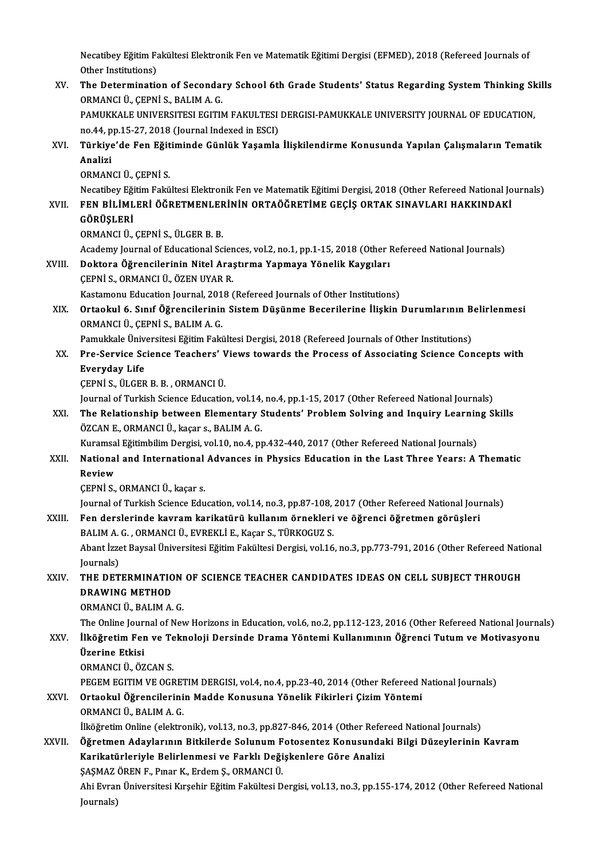Necatibey Eğitim Fakültesi Elektronik Fen ve Matematik Eğitimi Dergisi (EFMED), 2018 (Refereed Journals of<br>Other Institutions) Necatibey Eğitim Fa<br>Other Institutions)<br>The Determinatio Necatibey Eğitim Fakültesi Elektronik Fen ve Matematik Eğitimi Dergisi (EFMED), 2018 (Refereed Journals of<br>Other Institutions)<br>XV. The Determination of Secondary School 6th Grade Students' Status Regarding System Thinking

Other Institutions)<br>The Determination of Secondal<br>ORMANCI Ü., ÇEPNİ S., BALIM A. G.<br>RAMIKKALE UNIVERSITESI ECITIN The Determination of Secondary School 6th Grade Students' Status Regarding System Thinking Sk<br>ORMANCI Ü., ÇEPNİ S., BALIM A. G.<br>PAMUKKALE UNIVERSITESI EGITIM FAKULTESI DERGISI-PAMUKKALE UNIVERSITY JOURNAL OF EDUCATION,<br>no. ORMANCI Ü., ÇEPNİ S., BALIM A. G.<br>PAMUKKALE UNIVERSITESI EGITIM FAKULTESI<br>no.44, pp.15-27, 2018 (Journal Indexed in ESCI)<br>Türkiye'de Een Eğitiminde Günlük Yaşamla

PAMUKKALE UNIVERSITESI EGITIM FAKULTESI DERGISI-PAMUKKALE UNIVERSITY JOURNAL OF EDUCATION,<br>no.44, pp.15-27, 2018 (Journal Indexed in ESCI)<br>XVI. Türkiye'de Fen Eğitiminde Günlük Yaşamla İlişkilendirme Konusunda Yapılan no 44, p<br><mark>Türkiye</mark><br>Analizi<br>O<sup>DMAN</sup> <mark>Türkiye'de Fen Eğit</mark><br>Analizi<br>ORMANCI Ü., ÇEPNİ S.<br>Necatibey Eğitim Felsî

Analizi<br>ORMANCI Ü., ÇEPNİ S.<br>Necatibey Eğitim Fakültesi Elektronik Fen ve Matematik Eğitimi Dergisi, 2018 (Other Refereed National Journals)<br>FEN RİL İMLERİ ÖĞRETMENLERİNİN ORTAÖĞRETİME CECİS ORTAK SINAVLARL HAKKINDAKİ ORMANCI Ü., ÇEPNİ S.<br>Necatibey Eğitim Fakültesi Elektronik Fen ve Matematik Eğitimi Dergisi, 2018 (Other Refereed National Jo<br>CÖRİNLERİ ÖĞRETMENLERİNİN ORTAÖĞRETİME GEÇİŞ ORTAK SINAVLARI HAKKINDAKİ

# Necatibey Eği<br>FEN BİLİML<br>GÖRÜŞLERİ<br>OPMANCI Ü

FEN BİLİMLERİ ÖĞRETMENLER<br>GÖRÜŞLERİ<br>ORMANCI Ü., ÇEPNİ S., ÜLGER B. B.<br>Asadamu Jaurnal of Educational Sc

GÖRÜŞLERİ<br>ORMANCI Ü., ÇEPNİ S., ÜLGER B. B.<br>Academy Journal of Educational Sciences, vol.2, no.1, pp.1-15, 2018 (Other Refereed National Journals)<br>Dektere Öğrensilerinin Nitel Arestume Yanmaya Yönelik Kaysıları

## ORMANCI Ü., ÇEPNİ S., ÜLGER B. B.<br>Academy Journal of Educational Sciences, vol.2, no.1, pp.1-15, 2018 (Other I<br>XVIII. Doktora Öğrencilerinin Nitel Araştırma Yapmaya Yönelik Kaygıları<br>CEPNİ S. OPMANCI Ü. ÖZEN IIYAR R Doktora Öğrencilerinin Nitel Araştırma Yapmaya Yönelik Kaygıları<br>ÇEPNİ S., ORMANCI Ü., ÖZEN UYAR R.<br>Kastamonu Education Journal, 2018 (Refereed Journals of Other Institutions)

Academy Journal of Educational Scien<br>Doktora Öğrencilerinin Nitel Araş.<br>ÇEPNİ S., ORMANCI Ü., ÖZEN UYAR R.<br>Kestamanu Education Journal 2018 (

CEPNİ S., ORMANCI Ü., ÖZEN UYAR R.<br>Kastamonu Education Journal, 2018 (Refereed Journals of Other Institutions)<br>XIX. Ortaokul 6. Sınıf Öğrencilerinin Sistem Düşünme Becerilerine İlişkin Durumlarının Belirlenmesi<br>ORMANCI Kastamonu Education Journal, 201<br>**Ortaokul 6. Sınıf Öğrencilerinin**<br>ORMANCI Ü., ÇEPNİ S., BALIM A. G.<br>Pemukkala Üniversitesi Eğitim Faki Ortaokul 6. Sınıf Öğrencilerinin Sistem Düşünme Becerilerine İlişkin Durumlarının B<br>ORMANCI Ü., ÇEPNİ S., BALIM A. G.<br>Pamukkale Üniversitesi Eğitim Fakültesi Dergisi, 2018 (Refereed Journals of Other Institutions)<br>Pre Sorv

## ORMANCI Ü., ÇEPNİ S., BALIM A. G.<br>Pamukkale Üniversitesi Eğitim Fakültesi Dergisi, 2018 (Refereed Journals of Other Institutions)<br>XX. Pre-Service Science Teachers' Views towards the Process of Associating Science Concepts Pamukkale Üniversitesi Eğitim Fakültesi Dergisi, 2018 (Refereed Journals of Other Institutions)<br>Pre-Service Science Teachers' Views towards the Process of Associating Science Cor<br>Everyday Life<br>CEPNI S., ÜLGER B. B. , ORMAN Pre-Service Science Teachers' V<br>Everyday Life<br>ÇEPNİ S., ÜLGER B.B. , ORMANCI Ü.<br>Journal of Turkish Science Educatio Everyday Life<br>ÇEPNİ S., ÜLGER B. B. , ORMANCI Ü.<br>Journal of Turkish Science Education, vol.14, no.4, pp.1-15, 2017 (Other Refereed National Journals)<br>The Belationship between Elementary Students' Brehlem Selving and Inquir

CEPNI S., ÜLGER B. B. , ORMANCI Ü.<br>Journal of Turkish Science Education, vol.14, no.4, pp.1-15, 2017 (Other Refereed National Journals)<br>XXI. The Relationship between Elementary Students' Problem Solving and Inquiry Lea Journal of Turkish Science Education, vol.14,<br>The Relationship between Elementary S<br>ÖZCAN E., ORMANCI Ü., kaçar s., BALIM A. G.<br>Kuramçal Eğitimbilim Dergisi, vol.10, no.4, nı The Relationship between Elementary Students' Problem Solving and Inquiry Learnin<br>ÖZCAN E., ORMANCI Ü., kaçar s., BALIM A. G.<br>Kuramsal Eğitimbilim Dergisi, vol.10, no.4, pp.432-440, 2017 (Other Refereed National Journals)<br>

## ÖZCAN E., ORMANCI Ü., kaçar s., BALIM A. G.<br>Kuramsal Eğitimbilim Dergisi, vol.10, no.4, pp.432-440, 2017 (Other Refereed National Journals)<br>XXII. National and International Advances in Physics Education in the Last Thr Kuramsal Eğitimbilim Dergisi, vol.10, no.4, pp.432-440, 2017 (Other Refereed National Journals)<br>National and International Advances in Physics Education in the Last Three Years: A<br>Review<br>CEPNI S., ORMANCI Ü., kaçar s. National and International<br>Review<br>ÇEPNİ S., ORMANCI Ü., kaçar s.<br>Journal of Turkish Ssiance Edu

Journal of Turkish Science Education, vol.14, no.3, pp.87-108, 2017 (Other Refereed National Journals)

CEPNİ S., ORMANCI Ü., kaçar s.<br>Journal of Turkish Science Education, vol.14, no.3, pp.87-108, 2017 (Other Refereed National Jour<br>XXIII. Fen derslerinde kavram karikatürü kullanım örnekleri ve öğrenci öğretmen görüşleri<br>PAL Journal of Turkish Science Education, vol.14, no.3, pp.87-108,<br>Fen derslerinde kavram karikatürü kullanım örnekleri<br>BALIM A. G. , ORMANCI Ü., EVREKLİ E., Kaçar S., TÜRKOGUZ S.<br>Abant İssat Baysal Üniyessitesi Eğitim Fakülte Fen derslerinde kavram karikatürü kullanım örnekleri ve öğrenci öğretmen görüşleri<br>BALIM A. G. , ORMANCI Ü., EVREKLİ E., Kaçar S., TÜRKOGUZ S.<br>Abant İzzet Baysal Üniversitesi Eğitim Fakültesi Dergisi, vol.16, no.3, pp.773-

**BALIM A.<br>Abant İzze<br>Journals)<br>THE DET** Abant İzzet Baysal Üniversitesi Eğitim Fakültesi Dergisi, vol.16, no.3, pp.773-791, 2016 (Other Refereed Nati<br>Journals)<br>XXIV. THE DETERMINATION OF SCIENCE TEACHER CANDIDATES IDEAS ON CELL SUBJECT THROUGH

# Journals)<br>THE DETERMINATION OF SCIENCE TEACHER CANDIDATES IDEAS ON CELL SUBJECT THROUGH<br>DRAWING METHOD

ORMANCIÜ.,BALIMA.G.

The Online Journal of New Horizons in Education, vol.6, no.2, pp.112-123, 2016 (Other Refereed National Journals)

## ORMANCI Ü., BALIM A. G.<br>The Online Journal of New Horizons in Education, vol.6, no.2, pp.112-123, 2016 (Other Refereed National Journa<br>XXV. İlköğretim Fen ve Teknoloji Dersinde Drama Yöntemi Kullanımının Öğrenci Tutum Üzerine Etkisi İlköğretim Fen ve Te<br>Üzerine Etkisi<br>ORMANCI Ü., ÖZCAN S.<br>PECEM ECITIM VE OCE Üzerine Etkisi<br>ORMANCI Ü., ÖZCAN S.<br>PEGEM EGITIM VE OGRETIM DERGISI, vol.4, no.4, pp.23-40, 2014 (Other Refereed National Journals)<br>Ortaokul Öğrengilerinin Madde Konusune Vänelik Eikirleri Girim Väntemi

## XXVI. Ortaokul Öğrencilerinin Madde Konusuna Yönelik Fikirleri Çizim Yöntemi<br>ORMANCI Ü., BALIM A. G. PEGEM EGITIM VE OGRET<br>Ortaokul Öğrencilerini<br>ORMANCI Ü., BALIM A. G.<br><sup>İlka</sup>ğratim Online (elektre

İlköğretim Online (elektronik), vol.13, no.3, pp.827-846, 2014 (Other Refereed National Journals)

## XXVII. Öğretmen Adaylarının Bitkilerde Solunum Fotosentez Konusundaki Bilgi Düzeylerinin Kavram İlköğretim Online (elektronik), vol.13, no.3, pp.827-846, 2014 (Other Refer<br>Öğretmen Adaylarının Bitkilerde Solunum Fotosentez Konusunda<br>Karikatürleriyle Belirlenmesi ve Farklı Değişkenlere Göre Analizi<br>SASMAZÖREN E. Prası Öğretmen Adaylarının Bitkilerde Solunum F<br>Karikatürleriyle Belirlenmesi ve Farklı Deği<br>ŞAŞMAZ ÖREN F., Pınar K., Erdem Ş., ORMANCI Ü.<br>Abi Eyman Üniversitesi Kırsabir Eğitim Falültesi D Karikatürleriyle Belirlenmesi ve Farklı Değişkenlere Göre Analizi<br>ŞAŞMAZ ÖREN F., Pınar K., Erdem Ş., ORMANCI Ü.<br>Ahi Evran Üniversitesi Kırşehir Eğitim Fakültesi Dergisi, vol.13, no.3, pp.155-174, 2012 (Other Refereed Nati

ŞAŞMAZ<br>Ahi Evrar<br>Journals)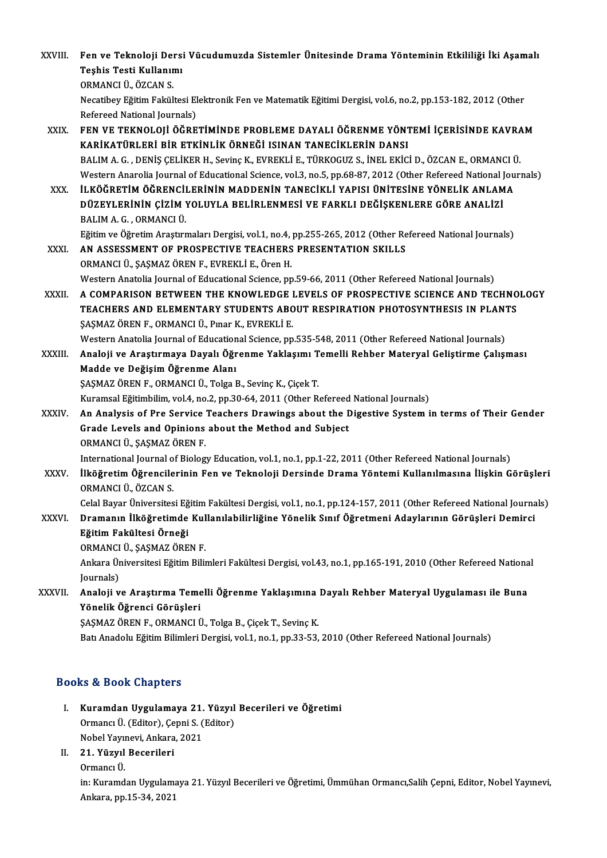| XXVIII.      | Fen ve Teknoloji Dersi Vücudumuzda Sistemler Ünitesinde Drama Yönteminin Etkililiği İki Aşamalı<br>Teşhis Testi Kullanımı                                                                                                              |
|--------------|----------------------------------------------------------------------------------------------------------------------------------------------------------------------------------------------------------------------------------------|
|              | ORMANCI Ü., ÖZCAN S.<br>Necatibey Eğitim Fakültesi Elektronik Fen ve Matematik Eğitimi Dergisi, vol.6, no.2, pp.153-182, 2012 (Other<br>Refereed National Journals)                                                                    |
| XXIX.        | FEN VE TEKNOLOJI ÖĞRETIMINDE PROBLEME DAYALI ÖĞRENME YÖNTEMI İÇERISINDE KAVRAM<br>KARİKATÜRLERİ BİR ETKİNLİK ÖRNEĞİ ISINAN TANECİKLERİN DANSI                                                                                          |
|              | BALIM A. G., DENİŞ ÇELİKER H., Sevinç K., EVREKLİ E., TÜRKOGUZ S., İNEL EKİCİ D., ÖZCAN E., ORMANCI Ü.<br>Western Anarolia Journal of Educational Science, vol.3, no.5, pp.68-87, 2012 (Other Refereed National Journals)              |
| XXX.         | İLKÖĞRETİM ÖĞRENCİLERİNİN MADDENİN TANECİKLI YAPISI ÜNİTESİNE YÖNELİK ANLAMA<br>DÜZEYLERİNİN ÇİZİM YOLUYLA BELİRLENMESİ VE FARKLI DEĞİŞKENLERE GÖRE ANALİZİ<br>BALIM A. G., ORMANCI Ü.                                                 |
| XXXI.        | Eğitim ve Öğretim Araştırmaları Dergisi, vol.1, no.4, pp.255-265, 2012 (Other Refereed National Journals)<br>AN ASSESSMENT OF PROSPECTIVE TEACHERS PRESENTATION SKILLS<br>ORMANCI Ü., ŞAŞMAZ ÖREN F., EVREKLİ E., Ören H.              |
|              | Western Anatolia Journal of Educational Science, pp.59-66, 2011 (Other Refereed National Journals)                                                                                                                                     |
| XXXII.       | A COMPARISON BETWEEN THE KNOWLEDGE LEVELS OF PROSPECTIVE SCIENCE AND TECHNOLOGY<br>TEACHERS AND ELEMENTARY STUDENTS ABOUT RESPIRATION PHOTOSYNTHESIS IN PLANTS<br>ŞAŞMAZ ÖREN F., ORMANCI Ü., Pınar K., EVREKLİ E.                     |
|              | Western Anatolia Journal of Educational Science, pp.535-548, 2011 (Other Refereed National Journals)                                                                                                                                   |
| XXXIII.      | Analoji ve Araştırmaya Dayalı Öğrenme Yaklaşımı Temelli Rehber Materyal Geliştirme Çalışması<br>Madde ve Değişim Öğrenme Alanı                                                                                                         |
|              | ŞAŞMAZ ÖREN F., ORMANCI Ü., Tolga B., Sevinç K., Çiçek T.                                                                                                                                                                              |
|              | Kuramsal Eğitimbilim, vol.4, no.2, pp.30-64, 2011 (Other Refereed National Journals)                                                                                                                                                   |
| <b>XXXIV</b> | An Analysis of Pre Service Teachers Drawings about the Digestive System in terms of Their Gender<br>Grade Levels and Opinions about the Method and Subject<br>ORMANCI Ü., ŞAŞMAZ ÖREN F                                                |
| XXXV.        | International Journal of Biology Education, vol.1, no.1, pp.1-22, 2011 (Other Refereed National Journals)<br>İlköğretim Öğrencilerinin Fen ve Teknoloji Dersinde Drama Yöntemi Kullanılmasına İlişkin Görüşleri<br>ORMANCI Ü., ÖZCAN S |
|              | Celal Bayar Üniversitesi Eğitim Fakültesi Dergisi, vol.1, no.1, pp.124-157, 2011 (Other Refereed National Journals)                                                                                                                    |
| <b>XXXVI</b> | Dramanın İlköğretimde Kullanılabilirliğine Yönelik Sınıf Öğretmeni Adaylarının Görüşleri Demirci<br>Eğitim Fakültesi Örneği                                                                                                            |
|              | ORMANCI Ü., ŞAŞMAZ ÖREN F.<br>Ankara Üniversitesi Eğitim Bilimleri Fakültesi Dergisi, vol.43, no.1, pp.165-191, 2010 (Other Refereed National<br>Journals)                                                                             |
| XXXVII.      | Analoji ve Araştırma Temelli Öğrenme Yaklaşımına Dayalı Rehber Materyal Uygulaması ile Buna<br>Yönelik Öğrenci Görüşleri                                                                                                               |
|              | ŞAŞMAZ ÖREN F., ORMANCI Ü., Tolga B., Çiçek T., Sevinç K.                                                                                                                                                                              |
|              | Batı Anadolu Eğitim Bilimleri Dergisi, vol.1, no.1, pp.33-53, 2010 (Other Refereed National Journals)                                                                                                                                  |
|              |                                                                                                                                                                                                                                        |

## Books&Book Chapters

- ooks & Book Chapters<br>I. Kuramdan Uygulamaya 21. Yüzyıl Becerileri ve Öğretimi<br>Ormang Ü (Editer) Cenni S (Editer) EU & DUSA Unapters<br>Kuramdan Uygulamaya 21. Yüzyıl<br>Ormancı Ü. (Editor), Çepni S. (Editor) Kuramdan Uygulamaya 21.<br>Ormancı Ü. (Editor), Çepni S. (<br>Nobel Yayınevi, Ankara, 2021<br>21. Vüryyl Besenileri Ormancı Ü. (Editor), Çepni S. (Editor)<br>Nobel Yayınevi, Ankara, 2021<br>II. 21. Yüzyıl Becerileri<br>Ormancı Ü. Nobel Yayınevi, Ankara, 2021
- 

21. Yüzyıl Becerileri<br>Ormancı Ü.<br>in: Kuramdan Uygulamaya 21. Yüzyıl Becerileri ve Öğretimi, Ümmühan Ormancı,Salih Çepni, Editor, Nobel Yayınevi, Ormancı Ü.<br>in: Kuramdan Uygulama<br>Ankara, pp.15-34, 2021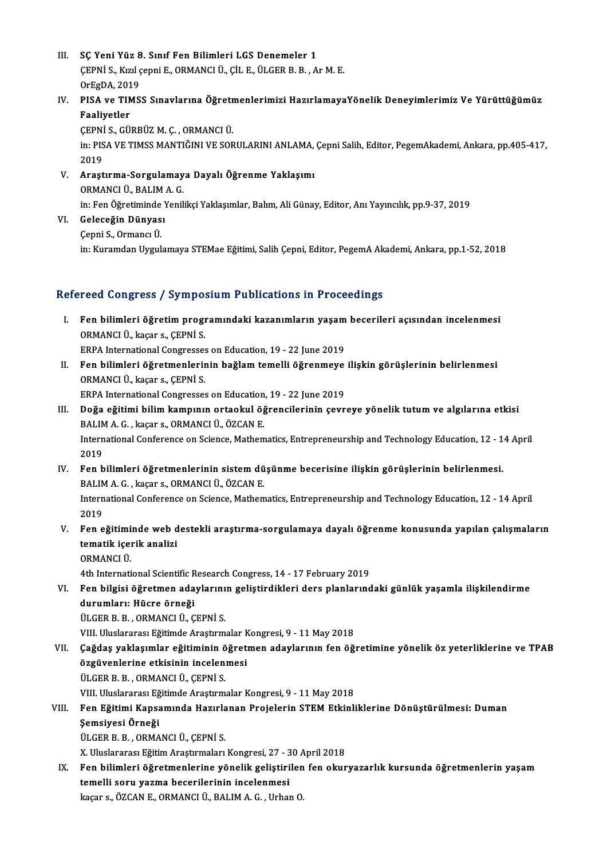- III. SC Yeni Yüz 8. Sınıf Fen Bilimleri LGS Denemeler 1 SÇ Yeni Yüz 8. Sınıf Fen Bilimleri LGS Denemeler 1<br>ÇEPNİ S., Kızıl çepni E., ORMANCI Ü., ÇİL E., ÜLGER B. B. , Ar M. E.<br>OrFgDA 2019 SÇ Yeni Yüz 8<br>ÇEPNİ S., Kızıl ç<br>OrEgDA, 2019<br>PISA ve TIMS
- ÇEPNİ S., Kızıl çepni E., ORMANCI Ü., ÇİL E., ÜLGER B. B. , Ar M. E.<br>OrEgDA, 2019<br>IV. PISA ve TIMSS Sınavlarına Öğretmenlerimizi HazırlamayaYönelik Deneyimlerimiz Ve Yürüttüğümüz<br>Feslivetler OrEgDA, 201<br>PISA ve TIN<br>Faaliyetler<br>CEPNIS CII

Faaliyetler<br>ÇEPNİ S., GÜRBÜZ M. Ç. , ORMANCI Ü. Faaliyetler<br>ÇEPNİ S., GÜRBÜZ M. Ç. , ORMANCI Ü.<br>in: PISA VE TIMSS MANTIĞINI VE SORULARINI ANLAMA, Çepni Salih, Editor, PegemAkademi, Ankara, pp.405-417,<br>2019 CEPNI<br>in: PIS<br>2019 in: PISA VE TIMSS MANTIĞINI VE SORULARINI ANLAMA,<br>2019<br>V. Araştırma-Sorgulamaya Dayalı Öğrenme Yaklaşımı<br>OPMANCI Ü. BALIMA C

- 2019<br>V. Araştırma-Sorgulamaya Dayalı Öğrenme Yaklaşımı<br>ORMANCI Ü., BALIM A. G. in: Fen Öğretiminde Yenilikçi Yaklaşımlar, Balım, Ali Günay, Editor, Anı Yayıncılık, pp.9-37, 2019
- VI. Geleceğin Dünyası

```
ÇepniS.,OrmancıÜ.
```
in: Kuramdan Uygulamaya STEMae Eğitimi, Salih Çepni, Editor, PegemA Akademi, Ankara, pp.1-52, 2018

## Refereed Congress / Symposium Publications in Proceedings

efereed Congress / Symposium Publications in Proceedings<br>I. Fen bilimleri öğretim programındaki kazanımların yaşam becerileri açısından incelenmesi<br>OPMANCLÜ kasara CEPNiss Teca Congress 7 cympe.<br>Fen bilimleri öğretim progr<br>ORMANCI Ü., kaçar s., ÇEPNİ S.<br>EPPA International Congresses Fen bilimleri öğretim programındaki kazanımların yaşam<br>ORMANCI Ü., kaçar s., ÇEPNİ S.<br>ERPA International Congresses on Education, 19 - 22 June 2019<br>Fen bilimleri öğretmenlerinin beğlem temelli öğrenmeye

ORMANCI Ü., kaçar s., ÇEPNİ S.<br>ERPA International Congresses on Education, 19 - 22 June 2019<br>II. Fen bilimleri öğretmenlerinin bağlam temelli öğrenmeye ilişkin görüşlerinin belirlenmesi<br>OPMANCI Ü. kaçar ç. ÇEPNİ S. ERPA International Congresses on Education, 19 - 22 June 2019<br>Fen bilimleri öğretmenlerinin bağlam temelli öğrenmeye<br>ORMANCI Ü., kaçar s., ÇEPNİ S.<br>ERPA International Congresses on Education, 19 - 22 June 2019 Fen bilimleri öğretmenlerinin bağlam temelli öğrenmeye<br>ORMANCI Ü., kaçar s., ÇEPNİ S.<br>ERPA International Congresses on Education, 19 - 22 June 2019<br>Doğa eğitimi bilim kampunu ertaskul öğrengilerinin sevr

- III. Doğa eğitimi bilim kampının ortaokul öğrencilerinin çevreye yönelik tutum ve algılarına etkisi BALIMA.G. ,kaçar s.,ORMANCIÜ.,ÖZCANE. Doğa eğitimi bilim kampının ortaokul öğrencilerinin çevreye yönelik tutum ve algılarına etkisi<br>BALIM A. G. , kaçar s., ORMANCI Ü., ÖZCAN E.<br>International Conference on Science, Mathematics, Entrepreneurship and Technology BALIM<br>Intern<br>2019<br>Een h International Conference on Science, Mathematics, Entrepreneurship and Technology Education, 12 - 1<br>2019<br>IV. Fen bilimleri öğretmenlerinin sistem düşünme becerisine ilişkin görüşlerinin belirlenmesi.
- 2019<br>Fen bilimleri öğretmenlerinin sistem dü<br>BALIM A. G. , kaçar s., ORMANCI Ü., ÖZCAN E.<br>International Conference en Science Methem IV. Fen bilimleri öğretmenlerinin sistem düşünme becerisine ilişkin görüşlerinin belirlenmesi.<br>BALIM A. G. , kaçar s., ORMANCI Ü., ÖZCAN E.<br>International Conference on Science, Mathematics, Entrepreneurship and Technology BALIM<br>Intern<br>2019<br>Een e International Conference on Science, Mathematics, Entrepreneurship and Technology Education, 12 - 14 April<br>2019<br>V. Fen eğitiminde web destekli araştırma-sorgulamaya dayalı öğrenme konusunda yapılan çalışmaların<br>tematik i
- 2019<br>Fen eğitiminde web d<br>tematik içerik analizi<br>OPMANCI Ü Fen eğitimi<br>tematik içen<br>ORMANCI Ü.<br>4th Internati tematik içerik analizi<br>ORMANCI Ü.<br>4th International Scientific Research Congress, 14 - 17 February 2019<br>Fen bilgisi öğretmen adaylarının geliştirdikleri dere planlarınd

ORMANCI Ü.<br>4th International Scientific Research Congress, 14 - 17 February 2019<br>VI. Fen bilgisi öğretmen adaylarının geliştirdikleri ders planlarındaki günlük yaşamla ilişkilendirme<br>durumları: Hücre örneği 4th International Scientific R<br>Fen bilgisi öğretmen ada<br>durumları: Hücre örneği<br>ÜLCEP P. P. OPMANCLÜ C <mark>durumları: Hücre örneği</mark><br>ÜLGER B. B. , ORMANCI Ü., ÇEPNİ S.<br>VIII. Uluslararası Eğitimde Araştırmalar Kongresi, 9 - 11 May 2018<br>Cağdas vaklasımlar ağitiminin öğretmen adaylarının fen öğ

ÜLGERB.B. ,ORMANCIÜ.,ÇEPNİ S.

- ÜLGER B. B. , ORMANCI Ü., ÇEPNİ S.<br>VIII. Uluslararası Eğitimde Araştırmalar Kongresi, 9 11 May 2018<br>VII. Çağdaş yaklaşımlar eğitiminin öğretmen adaylarının fen öğretimine yönelik öz yeterliklerine ve TPAB<br>Özgüyenleri VIII. Uluslararası Eğitimde Araştırmalar k<br>Çağdaş yaklaşımlar eğitiminin öğret:<br>özgüvenlerine etkisinin incelenmesi<br>ÜLCEP P. P. OPMANCLÜ, CEPNİ S. Çağdaş yaklaşımlar eğitiminin ö<br>özgüvenlerine etkisinin incelen<br>ÜLGER B. B., ORMANCI Ü., ÇEPNİ S.<br>VIII Uluelararası Eğitimda Arastırm <mark>özgüvenlerine etkisinin incelenmesi</mark><br>ÜLGER B. B. , ORMANCI Ü., ÇEPNİ S.<br>VIII. Uluslararası Eğitimde Araştırmalar Kongresi, 9 - 11 May 2018 ÜLGER B. B. , ORMANCI Ü., ÇEPNİ S.<br>VIII. Uluslararası Eğitimde Araştırmalar Kongresi, 9 - 11 May 2018<br>VIII. Fen Eğitimi Kapsamında Hazırlanan Projelerin STEM Etkinliklerine Dönüştürülmesi: Duman<br>Semsiyesi Örneği
- VIII. Uluslararası Eğ<br>Fen Eğitimi Kapsa<br>Şemsiyesi Örneği<br><sup>ÜLCER B. B. OPMA</sup> Fen Eğitimi Kapsamında Hazırla<br>Şemsiyesi Örneği<br>ÜLGER B. B. , ORMANCI Ü., ÇEPNİ S.<br>Y. Uluclararesı Eğitim Arastumaları Şemsiyesi Örneği<br>ÜLGER B. B. , ORMANCI Ü., ÇEPNİ S.<br>X. Uluslararası Eğitim Araştırmaları Kongresi, 27 - 30 April 2018

ÜLGER B. B. , ORMANCI Ü., ÇEPNİ S.<br>IX. Uluslararası Eğitim Araştırmaları Kongresi, 27 - 30 April 2018<br>IX. Fen bilimleri öğretmenlerine yönelik geliştirilen fen okuryazarlık kursunda öğretmenlerin yaşam<br>temelli seru yazma X. Uluslararası Eğitim Araştırmaları Kongresi, 27 - 3<br>Fen bilimleri öğretmenlerine yönelik geliştiri<br>temelli soru yazma becerilerinin incelenmesi<br>kasara, ÖZCAN E. OPMANCLÜ, BALIM A.C., Urbay Fen bilimleri öğretmenlerine yönelik geliştirilen<br>temelli soru yazma becerilerinin incelenmesi<br>kaçar s., ÖZCAN E., ORMANCI Ü., BALIM A. G. , Urhan O.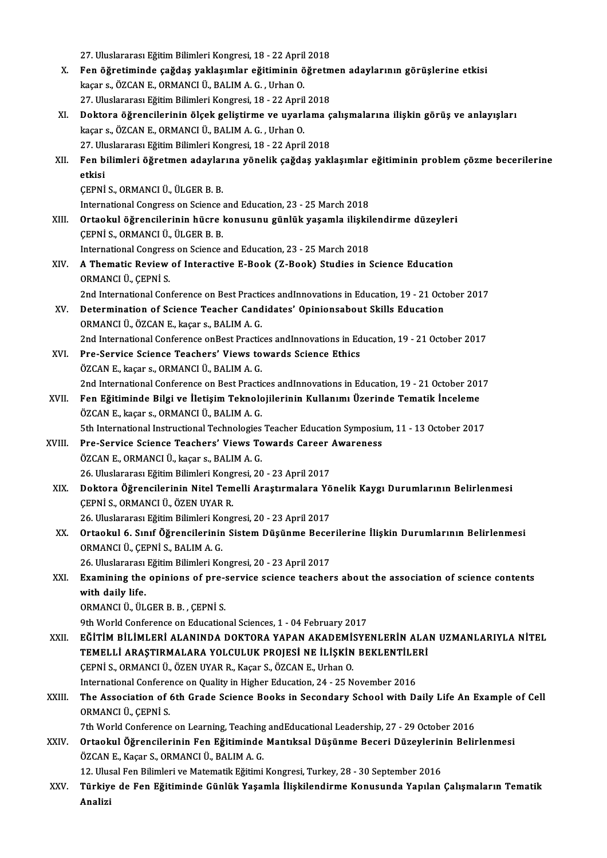|        | 27. Uluslararası Eğitim Bilimleri Kongresi, 18 - 22 April 2018                                                                                |
|--------|-----------------------------------------------------------------------------------------------------------------------------------------------|
| X.     | Fen öğretiminde çağdaş yaklaşımlar eğitiminin öğretmen adaylarının görüşlerine etkisi                                                         |
|        | kaçar s., ÖZCAN E., ORMANCI Ü., BALIM A. G., Urhan O.                                                                                         |
|        | 27. Uluslararası Eğitim Bilimleri Kongresi, 18 - 22 April 2018                                                                                |
| XI.    | Doktora öğrencilerinin ölçek geliştirme ve uyarlama çalışmalarına ilişkin görüş ve anlayışları                                                |
|        | kaçar s., ÖZCAN E., ORMANCI Ü., BALIM A. G., Urhan O.                                                                                         |
|        | 27. Uluslararası Eğitim Bilimleri Kongresi, 18 - 22 April 2018                                                                                |
| XII.   | Fen bilimleri öğretmen adaylarına yönelik çağdaş yaklaşımlar eğitiminin problem çözme becerilerine                                            |
|        | etkisi                                                                                                                                        |
|        | ÇEPNİ S., ORMANCI Ü., ÜLGER B. B.                                                                                                             |
|        | International Congress on Science and Education, 23 - 25 March 2018                                                                           |
| XIII.  | Ortaokul öğrencilerinin hücre konusunu günlük yaşamla ilişkilendirme düzeyleri                                                                |
|        | ÇEPNİ S., ORMANCI Ü., ÜLGER B. B.                                                                                                             |
|        | International Congress on Science and Education, 23 - 25 March 2018                                                                           |
| XIV.   | A Thematic Review of Interactive E-Book (Z-Book) Studies in Science Education                                                                 |
|        | ORMANCI Ü., ÇEPNİ S.                                                                                                                          |
|        | 2nd International Conference on Best Practices andInnovations in Education, 19 - 21 October 2017                                              |
| XV.    | Determination of Science Teacher Candidates' Opinionsabout Skills Education                                                                   |
|        | ORMANCI Ü., ÖZCAN E., kaçar s., BALIM A. G.                                                                                                   |
|        | 2nd International Conference onBest Practices andInnovations in Education, 19 - 21 October 2017                                               |
| XVI.   | Pre-Service Science Teachers' Views towards Science Ethics                                                                                    |
|        | ÖZCAN E., kaçar s., ORMANCI Ü., BALIM A. G.                                                                                                   |
|        | 2nd International Conference on Best Practices andInnovations in Education, 19 - 21 October 2017                                              |
| XVII.  | Fen Eğitiminde Bilgi ve İletişim Teknolojilerinin Kullanımı Üzerinde Tematik İnceleme                                                         |
|        | ÖZCAN E., kaçar s., ORMANCI Ü., BALIM A. G.<br>5th International Instructional Technologies Teacher Education Symposium, 11 - 13 October 2017 |
| XVIII. | Pre-Service Science Teachers' Views Towards Career Awareness                                                                                  |
|        | ÖZCAN E., ORMANCI Ü., kaçar s., BALIM A. G.                                                                                                   |
|        | 26. Uluslararası Eğitim Bilimleri Kongresi, 20 - 23 April 2017                                                                                |
| XIX.   | Doktora Öğrencilerinin Nitel Temelli Araştırmalara Yönelik Kaygı Durumlarının Belirlenmesi                                                    |
|        | ÇEPNİ S., ORMANCI Ü., ÖZEN UYAR R.                                                                                                            |
|        | 26. Uluslararası Eğitim Bilimleri Kongresi, 20 - 23 April 2017                                                                                |
| XX.    | Ortaokul 6. Sınıf Öğrencilerinin Sistem Düşünme Becerilerine İlişkin Durumlarının Belirlenmesi                                                |
|        | ORMANCI Ü., ÇEPNİ S., BALIM A. G.                                                                                                             |
|        | 26. Uluslararası Eğitim Bilimleri Kongresi, 20 - 23 April 2017                                                                                |
| XXI.   | Examining the opinions of pre-service science teachers about the association of science contents                                              |
|        | with daily life.                                                                                                                              |
|        | ORMANCI Ü., ÜLGER B. B., ÇEPNİ S.                                                                                                             |
|        | 9th World Conference on Educational Sciences, 1 - 04 February 2017                                                                            |
| XXII.  | EĞİTİM BİLİMLERİ ALANINDA DOKTORA YAPAN AKADEMİSYENLERİN ALAN UZMANLARIYLA NİTEL                                                              |
|        | TEMELLİ ARAŞTIRMALARA YOLCULUK PROJESİ NE İLİŞKİN BEKLENTİLERİ                                                                                |
|        | ÇEPNİ S., ORMANCI Ü., ÖZEN UYAR R., Kaçar S., ÖZCAN E., Urhan O.                                                                              |
|        | International Conference on Quality in Higher Education, 24 - 25 November 2016                                                                |
| XXIII. | The Association of 6th Grade Science Books in Secondary School with Daily Life An Example of Cell                                             |
|        | ORMANCI Ü., ÇEPNİ S.                                                                                                                          |
|        | 7th World Conference on Learning, Teaching and Educational Leadership, 27 - 29 October 2016                                                   |
| XXIV.  | Ortaokul Öğrencilerinin Fen Eğitiminde Mantıksal Düşünme Beceri Düzeylerinin Belirlenmesi<br>ÖZCAN E., Kaçar S., ORMANCI Ü., BALIM A. G.      |
|        | 12. Ulusal Fen Bilimleri ve Matematik Eğitimi Kongresi, Turkey, 28 - 30 September 2016                                                        |
| XXV.   | Türkiye de Fen Eğitiminde Günlük Yaşamla İlişkilendirme Konusunda Yapılan Çalışmaların Tematik                                                |
|        | Analizi                                                                                                                                       |
|        |                                                                                                                                               |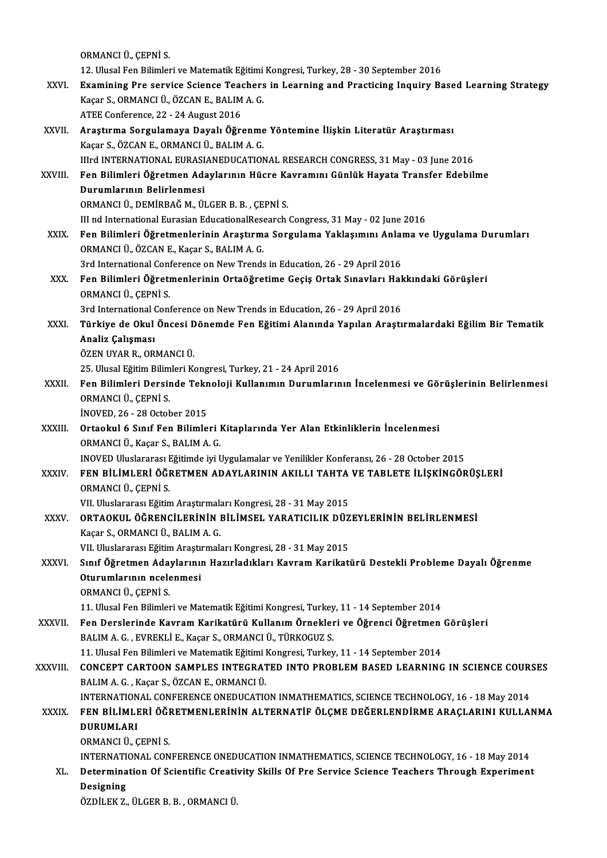ORMANCIÜ.,ÇEPNİ S.

12.UlusalFenBilimleriveMatematikEğitimiKongresi,Turkey,28 -30 September 2016

- ORMANCI Ü., ÇEPNİ S.<br>12. Ulusal Fen Bilimleri ve Matematik Eğitimi Kongresi, Turkey, 28 30 September 2016<br>XXVI. Examining Pre service Science Teachers in Learning and Practicing Inquiry Based Learning Strategy<br>Vegen 12. Ulusal Fen Bilimleri ve Matematik Eğitimi<br>Examining Pre service Science Teachers<br>Kaçar S., ORMANCI Ü., ÖZCAN E., BALIM A. G. Examining Pre service Science Tead<br>Kaçar S., ORMANCI Ü., ÖZCAN E., BALIM<br>ATEE Conference, 22 - 24 August 2016<br>Arastuma Sorgulamaya Davalı Öğre Kaçar S., ORMANCI Ü., ÖZCAN E., BALIM A. G.<br>ATEE Conference, 22 - 24 August 2016<br>XXVII. Araştırma Sorgulamaya Dayalı Öğrenme Yöntemine İlişkin Literatür Araştırması
- Kaçar S.,ÖZCANE.,ORMANCIÜ.,BALIMA.G. Araştırma Sorgulamaya Dayalı Öğrenme Yöntemine İlişkin Literatür Araştırması<br>Kaçar S., ÖZCAN E., ORMANCI Ü., BALIM A. G.<br>IIIrd INTERNATIONAL EURASIANEDUCATIONAL RESEARCH CONGRESS, 31 May - 03 June 2016<br>Fen Bilimleri Öğretm Kaçar S., ÖZCAN E., ORMANCI Ü., BALIM A. G.<br>IIIrd INTERNATIONAL EURASIANEDUCATIONAL RESEARCH CONGRESS, 31 May - 03 June 2016<br>XXVIII. Fen Bilimleri Öğretmen Adaylarının Hücre Kavramını Günlük Hayata Transfer Edebilme<br>Du Illrd INTERNATIONAL EURASI<br>Fen Bilimleri Öğretmen Ada<br>Durumlarının Belirlenmesi<br>OPMANCLÜ DEMİPPAČ M. Ül Fen Bilimleri Öğretmen Adaylarının Hücre Ka<br>Durumlarının Belirlenmesi<br>ORMANCI Ü., DEMİRBAĞ M., ÜLGER B. B. , ÇEPNİ S.<br>III nd International Eurosian EducationalBesearsh Durumlarının Belirlenmesi<br>ORMANCI Ü., DEMİRBAĞ M., ÜLGER B. B. , ÇEPNİ S.<br>III nd International Eurasian EducationalResearch Congress, 31 May - 02 June 2016 ORMANCI Ü., DEMİRBAĞ M., ÜLGER B. B. , ÇEPNİ S.<br>III nd International Eurasian EducationalResearch Congress, 31 May - 02 June 2016<br>XXIX. Fen Bilimleri Öğretmenlerinin Araştırma Sorgulama Yaklaşımını Anlama ve Uygulama D III nd International Eurasian EducationalRese<br>Fen Bilimleri Öğretmenlerinin Araştırmı<br>ORMANCI Ü., ÖZCAN E., Kaçar S., BALIM A. G.<br><sup>2nd International Conference on New Trende</sup> Fen Bilimleri Öğretmenlerinin Araştırma Sorgulama Yaklaşımını Anlaı<br>ORMANCI Ü., ÖZCAN E., Kaçar S., BALIM A. G.<br>3rd International Conference on New Trends in Education, 26 - 29 April 2016<br>Een Bilimleri Öğretmenlerinin Orta ORMANCI Ü., ÖZCAN E., Kaçar S., BALIM A. G.<br>3rd International Conference on New Trends in Education, 26 - 29 April 2016<br>XXX. Fen Bilimleri Öğretmenlerinin Ortaöğretime Geçiş Ortak Sınavları Hakkındaki Görüşleri<br>OPMANCI 3rd International Conference on New Trends in Education, 26 - 29 April 2016<br>Fen Bilimleri Öğretmenlerinin Ortaöğretime Geçiş Ortak Sınavları Hal<br>ORMANCI Ü., ÇEPNİ S.<br>3rd International Conference on New Trends in Education, Fen Bilimleri Öğretmenlerinin Ortaöğretime Geçiş Ortak Sınavları Halq<br>ORMANCI Ü., ÇEPNİ S.<br>3rd International Conference on New Trends in Education, 26 - 29 April 2016<br>Türkiye de Okul Öngesi Dönemde Ean Eğitimi Alanında Yap ORMANCI Ü., ÇEPNİ S.<br>3rd International Conference on New Trends in Education, 26 - 29 April 2016<br>XXXI. Türkiye de Okul Öncesi Dönemde Fen Eğitimi Alanında Yapılan Araştırmalardaki Eğilim Bir Tematik<br>Analir Calaması 3rd International (<br><mark>Türkiye de Okul</mark><br>Analiz Çalışması<br>ÖZEN UYAR R. OR Türkiye de Okul Öncesi D<br>Analiz Çalışması<br>ÖZEN UYAR R., ORMANCI Ü.<br>25 Ulucal Fğitim Bilimleri K Analiz Çalışması<br>ÖZEN UYAR R., ORMANCI Ü.<br>25. Ulusal Eğitim Bilimleri Kongresi, Turkey, 21 - 24 April 2016 ÖZEN UYAR R., ORMANCI Ü.<br>25. Ulusal Eğitim Bilimleri Kongresi, Turkey, 21 - 24 April 2016<br>XXXII. Fen Bilimleri Dersinde Teknoloji Kullanımın Durumlarının İncelenmesi ve Görüşlerinin Belirlenmesi<br>OBMANCLÜ CEPNİ S 25. Ulusal Eğitim Bilim<br>Fen Bilimleri Dersir<br>ORMANCI Ü., ÇEPNİ S.<br>İNOVED 26. 28 Ostak Fen Bilimleri Dersinde Tekn<br>ORMANCI Ü., ÇEPNİ S.<br>İNOVED, 26 - 28 October 2015<br>Ortaakul 6 Sınıf Fan Bilimla ORMANCI Ü., ÇEPNİ S.<br>İNOVED, 26 - 28 October 2015<br>XXXIII. Ortaokul 6 Sınıf Fen Bilimleri Kitaplarında Yer Alan Etkinliklerin İncelenmesi<br>ORMANCI Ü. Kasar S. BALIM A. G İNOVED, 26 - 28 October 2015<br>Ortaokul 6 Sınıf Fen Bilimleri I<br>ORMANCI Ü., Kaçar S., BALIM A. G.<br>INOVED Uluslararası Eğitimde iyi I ORMANCI Ü., Kaçar S., BALIM A. G.<br>INOVED Uluslararası Eğitimde iyi Uygulamalar ve Yenilikler Konferansı, 26 - 28 October 2015 ORMANCI Ü., Kaçar S., BALIM A. G.<br>INOVED Uluslararası Eğitimde iyi Uygulamalar ve Yenilikler Konferansı, 26 - 28 October 2015<br>XXXIV. FEN BİLİMLERİ ÖĞRETMEN ADAYLARININ AKILLI TAHTA VE TABLETE İLİŞKİNGÖRÜŞLERİ<br>ORMANCI Ü INOVED Uluslararası <mark>I</mark><br>FEN BİLİMLERİ ÖĞI<br>ORMANCI Ü., ÇEPNİ S.<br>VII Uluslararası Eğitin FEN BİLİMLERİ ÖĞRETMEN ADAYLARININ AKILLI TAHTA<br>ORMANCI Ü., ÇEPNİ S.<br>VII. Uluslararası Eğitim Araştırmaları Kongresi, 28 - 31 May 2015<br>OPTAOKUL ÖĞPENCU ERİNİN BU İMSEL YARATICU IK DÜZ XXXV. ORTAOKUL ÖĞRENCİLERİNİN BİLİMSEL YARATICILIK DÜZEYLERİNİN BELİRLENMESİ VII. Uluslararası Eğitim Araştırmal<mark>ı</mark><br>ORTAOKUL ÖĞRENCİLERİNİN I<br>Kaçar S., ORMANCI Ü., BALIM A. G.<br>VII. Uluslararası Eğitim Arastırmalı ORTAOKUL ÖĞRENCİLERİNİN BİLİMSEL YARATICILIK DÜZ<br>Kaçar S., ORMANCI Ü., BALIM A. G.<br>VII. Uluslararası Eğitim Araştırmaları Kongresi, 28 - 31 May 2015<br>Sınıf Öğratman Adavlarının Harırladıkları Kovram Karikati Kaçar S., ORMANCI Ü., BALIM A. G.<br>VII. Uluslararası Eğitim Araştırmaları Kongresi, 28 - 31 May 2015<br>XXXVI. Sınıf Öğretmen Adaylarının Hazırladıkları Kavram Karikatürü Destekli Probleme Dayalı Öğrenme<br>Otunumlanının nasl

## VII. Uluslararası Eğitim Araştı<br>Sınıf Öğretmen Adaylarınıı<br>Oturumlarının ncelenmesi<br>OPMANCLÜ CEPNİ S Sınıf Öğretmen Ada<sub>l</sub><br>Oturumlarının ncele<br>ORMANCI Ü., ÇEPNİ S.<br>11 Hlucal Fen Bilimler Oturumlarının ncelenmesi<br>ORMANCI Ü., ÇEPNİ S.<br>11. Ulusal Fen Bilimleri ve Matematik Eğitimi Kongresi, Turkey, 11 - 14 September 2014<br>Fen Derslerinde Kayram Karikatürü Kullanım Örnekleri ve Öğrensi Öğretmen

ORMANCI Ü., ÇEPNİ S.<br>11. Ulusal Fen Bilimleri ve Matematik Eğitimi Kongresi, Turkey, 11 - 14 September 2014<br>XXXVII. Fen Derslerinde Kavram Karikatürü Kullanım Örnekleri ve Öğrenci Öğretmen Görüşleri<br>BALIM A. G. , EVREK 11. Ulusal Fen Bilimleri ve Matematik Eğitimi Kongresi, Turkey<br>Fen Derslerinde Kavram Karikatürü Kullanım Örnekler<br>BALIM A. G. , EVREKLİ E., Kaçar S., ORMANCI Ü., TÜRKOGUZ S.<br>11. Ulusal Fen Bilimleri ve Matematik Eğitimi K Fen Derslerinde Kavram Karikatürü Kullanım Örnekleri ve Öğrenci Öğretmen<br>BALIM A. G. , EVREKLİ E., Kaçar S., ORMANCI Ü., TÜRKOGUZ S.<br>11. Ulusal Fen Bilimleri ve Matematik Eğitimi Kongresi, Turkey, 11 - 14 September 2014<br>CO

XXXVI I. CONCEPT CARTOON SAMPLES INTEGRATED INTO PROBLEMBASED LEARNING IN SCIENCE COURSES 11. Ulusal Fen Bilimleri ve Matematik Eğitimi<br>CONCEPT CARTOON SAMPLES INTEGRAT<br>BALIM A. G. , Kaçar S., ÖZCAN E., ORMANCI Ü.<br>INTERNATIONAL CONEERENCE ONEDUCATIO CONCEPT CARTOON SAMPLES INTEGRATED INTO PROBLEM BASED LEARNING IN SCIENCE COUR:<br>BALIM A. G. , Kaçar S., ÖZCAN E., ORMANCI Ü.<br>INTERNATIONAL CONFERENCE ONEDUCATION INMATHEMATICS, SCIENCE TECHNOLOGY, 16 - 18 May 2014<br>EEN BILI

## BALIM A. G. , Kaçar S., ÖZCAN E., ORMANCI Ü.<br>INTERNATIONAL CONFERENCE ONEDUCATION INMATHEMATICS, SCIENCE TECHNOLOGY, 16 - 18 May 2014<br>XXXIX. FEN BİLİMLERİ ÖĞRETMENLERİNİN ALTERNATİF ÖLÇME DEĞERLENDİRME ARAÇLARINI KULLANMA<br> INTERNATIONAL CONFERENCE ONEDUCATION INMATHEMATICS, SCIENCE TECHNOLOGY, 16 - 18 May 2014

- ORMANCIÜ.,ÇEPNİ S.
- DURUMLARI<br>ORMANCI Ü., ÇEPNİ S.<br>INTERNATIONAL CONFERENCE ONEDUCATION INMATHEMATICS, SCIENCE TECHNOLOGY, 16 18 May 2014<br>Determination Of Scientific Creativity, Skille Of Pre Service Science Tecchers Through Euneriment ORMANCI Ü., ÇEPNİ S.<br>INTERNATIONAL CONFERENCE ONEDUCATION INMATHEMATICS, SCIENCE TECHNOLOGY, 16 - 18 May 2014<br>XL. Determination Of Scientific Creativity Skills Of Pre Service Science Teachers Through Experiment<br>Designi

## INTERNATI<br>Determina<br>Designing<br>ÖZDİLEK Z Determination Of Scientific Creativity Skills Of Pre Service Science Teachers Through Experiment<br>Designing<br>ÖZDİLEK Z., ÜLGER B. B. , ORMANCI Ü.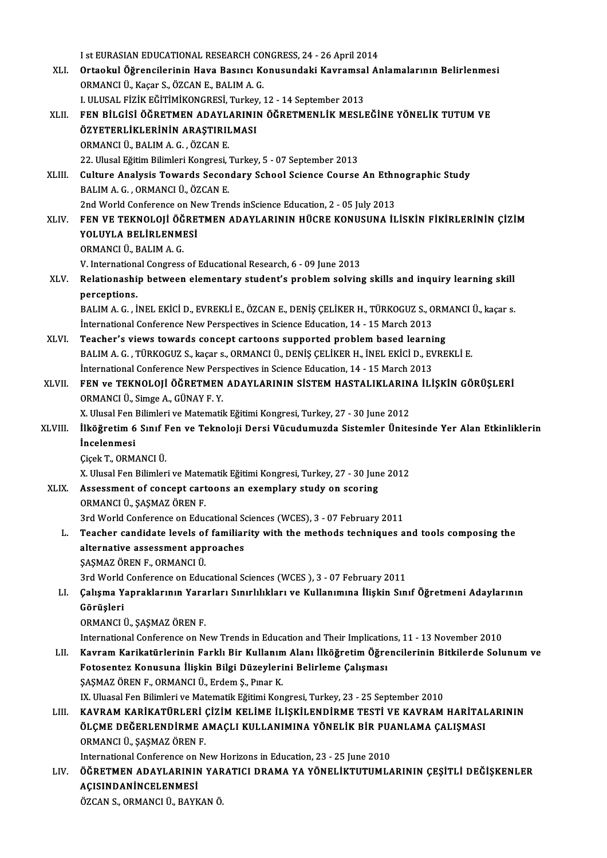| I st EURASIAN EDUCATIONAL RESEARCH CONGRESS, 24 - 26 April 2014<br>Ortaokul Öğrencilerinin Hava Basıncı Konusundaki Kavramsal Anlamalarının Belirlenmesi<br>XLI.<br>ORMANCI Ü., Kaçar S., ÖZCAN E., BALIM A. G.<br>I. ULUSAL FİZİK EĞİTİMİKONGRESİ, Turkey, 12 - 14 September 2013<br>FEN BİLGİSİ ÖĞRETMEN ADAYLARININ ÖĞRETMENLİK MESLEĞİNE YÖNELİK TUTUM VE<br>XLII.<br>ÖZYETERLİKLERİNİN ARAŞTIRILMASI<br>ORMANCI Ü., BALIM A. G., ÖZCAN E.<br>22. Ulusal Eğitim Bilimleri Kongresi, Turkey, 5 - 07 September 2013<br>Culture Analysis Towards Secondary School Science Course An Ethnographic Study<br>XLIII.<br>BALIM A. G., ORMANCI Ü., ÖZCAN E.<br>2nd World Conference on New Trends inScience Education, 2 - 05 July 2013<br>FEN VE TEKNOLOJİ ÖĞRETMEN ADAYLARININ HÜCRE KONUSUNA İLİSKİN FİKİRLERİNİN ÇİZİM<br><b>XLIV</b><br>YOLUYLA BELİRLENMESİ<br>ORMANCI Ü., BALIM A. G.<br>V. International Congress of Educational Research, 6 - 09 June 2013<br>Relationaship between elementary student's problem solving skills and inquiry learning skill<br>XLV.<br>perceptions.<br>BALIM A. G., İNEL EKİCİ D., EVREKLİ E., ÖZCAN E., DENİŞ ÇELİKER H., TÜRKOGUZ S., ORMANCI Ü., kaçar s.<br>International Conference New Perspectives in Science Education, 14 - 15 March 2013<br>Teacher's views towards concept cartoons supported problem based learning<br>XLVI.<br>BALIM A. G., TÜRKOGUZ S., kaçar s., ORMANCI Ü., DENİŞ ÇELİKER H., İNEL EKİCİ D., EVREKLİ E.<br>International Conference New Perspectives in Science Education, 14 - 15 March 2013<br>FEN ve TEKNOLOJİ ÖĞRETMEN ADAYLARININ SİSTEM HASTALIKLARINA İLİŞKİN GÖRÜŞLERİ<br>XLVII.<br>ORMANCI Ü., Simge A., GÜNAY F. Y.<br>X. Ulusal Fen Bilimleri ve Matematik Eğitimi Kongresi, Turkey, 27 - 30 June 2012<br>İlköğretim 6 Sınıf Fen ve Teknoloji Dersi Vücudumuzda Sistemler Ünitesinde Yer Alan Etkinliklerin<br>XLVIII.<br><i>incelenmesi</i><br>Çiçek T, ORMANCI Ü.<br>X. Ulusal Fen Bilimleri ve Matematik Eğitimi Kongresi, Turkey, 27 - 30 June 2012<br>Assessment of concept cartoons an exemplary study on scoring<br>XLIX.<br>ORMANCI Ü., ŞAŞMAZ ÖREN F<br>3rd World Conference on Educational Sciences (WCES), 3 - 07 February 2011<br>Teacher candidate levels of familiarity with the methods techniques and tools composing the<br>L.<br>alternative assessment approaches<br>ŞAŞMAZ ÖREN F., ORMANCI Ü.<br>3rd World Conference on Educational Sciences (WCES), 3 - 07 February 2011<br>Çalışma Yapraklarının Yararları Sınırlılıkları ve Kullanımına İlişkin Sınıf Öğretmeni Adaylarının<br>LI.<br>Görüşleri<br>ORMANCI Ü., ŞAŞMAZ ÖREN F.<br>International Conference on New Trends in Education and Their Implications, 11 - 13 November 2010<br>Kavram Karikatürlerinin Farklı Bir Kullanım Alanı İlköğretim Öğrencilerinin Bitkilerde Solunum ve<br>LII.<br>Fotosentez Konusuna İlişkin Bilgi Düzeylerini Belirleme Çalışması<br>ŞAŞMAZ ÖREN F., ORMANCI Ü., Erdem Ş., Pınar K.<br>IX. Uluasal Fen Bilimleri ve Matematik Eğitimi Kongresi, Turkey, 23 - 25 September 2010<br>KAVRAM KARİKATÜRLERİ ÇİZİM KELİME İLİŞKİLENDİRME TESTİ VE KAVRAM HARİTALARININ<br>LIII.<br>ÖLÇME DEĞERLENDİRME AMAÇLI KULLANIMINA YÖNELİK BİR PUANLAMA ÇALIŞMASI<br>ORMANCI Ü., ŞAŞMAZ ÖREN F<br>International Conference on New Horizons in Education, 23 - 25 June 2010<br>ÖĞRETMEN ADAYLARININ YARATICI DRAMA YA YÖNELİKTUTUMLARININ ÇEŞİTLİ DEĞİŞKENLER<br>LIV.<br>AÇISINDANİNCELENMESİ |  |
|-------------------------------------------------------------------------------------------------------------------------------------------------------------------------------------------------------------------------------------------------------------------------------------------------------------------------------------------------------------------------------------------------------------------------------------------------------------------------------------------------------------------------------------------------------------------------------------------------------------------------------------------------------------------------------------------------------------------------------------------------------------------------------------------------------------------------------------------------------------------------------------------------------------------------------------------------------------------------------------------------------------------------------------------------------------------------------------------------------------------------------------------------------------------------------------------------------------------------------------------------------------------------------------------------------------------------------------------------------------------------------------------------------------------------------------------------------------------------------------------------------------------------------------------------------------------------------------------------------------------------------------------------------------------------------------------------------------------------------------------------------------------------------------------------------------------------------------------------------------------------------------------------------------------------------------------------------------------------------------------------------------------------------------------------------------------------------------------------------------------------------------------------------------------------------------------------------------------------------------------------------------------------------------------------------------------------------------------------------------------------------------------------------------------------------------------------------------------------------------------------------------------------------------------------------------------------------------------------------------------------------------------------------------------------------------------------------------------------------------------------------------------------------------------------------------------------------------------------------------------------------------------------------------------------------------------------------------------------------------------------------------------------------------------------------------------------------------------------------------------------------------------------------------------------------------------------------------------------------------------------------------------------------------------------------------------------------------------------------------------------------------------------------------------------------------------------------------------------|--|
|                                                                                                                                                                                                                                                                                                                                                                                                                                                                                                                                                                                                                                                                                                                                                                                                                                                                                                                                                                                                                                                                                                                                                                                                                                                                                                                                                                                                                                                                                                                                                                                                                                                                                                                                                                                                                                                                                                                                                                                                                                                                                                                                                                                                                                                                                                                                                                                                                                                                                                                                                                                                                                                                                                                                                                                                                                                                                                                                                                                                                                                                                                                                                                                                                                                                                                                                                                                                                                                                         |  |
|                                                                                                                                                                                                                                                                                                                                                                                                                                                                                                                                                                                                                                                                                                                                                                                                                                                                                                                                                                                                                                                                                                                                                                                                                                                                                                                                                                                                                                                                                                                                                                                                                                                                                                                                                                                                                                                                                                                                                                                                                                                                                                                                                                                                                                                                                                                                                                                                                                                                                                                                                                                                                                                                                                                                                                                                                                                                                                                                                                                                                                                                                                                                                                                                                                                                                                                                                                                                                                                                         |  |
|                                                                                                                                                                                                                                                                                                                                                                                                                                                                                                                                                                                                                                                                                                                                                                                                                                                                                                                                                                                                                                                                                                                                                                                                                                                                                                                                                                                                                                                                                                                                                                                                                                                                                                                                                                                                                                                                                                                                                                                                                                                                                                                                                                                                                                                                                                                                                                                                                                                                                                                                                                                                                                                                                                                                                                                                                                                                                                                                                                                                                                                                                                                                                                                                                                                                                                                                                                                                                                                                         |  |
|                                                                                                                                                                                                                                                                                                                                                                                                                                                                                                                                                                                                                                                                                                                                                                                                                                                                                                                                                                                                                                                                                                                                                                                                                                                                                                                                                                                                                                                                                                                                                                                                                                                                                                                                                                                                                                                                                                                                                                                                                                                                                                                                                                                                                                                                                                                                                                                                                                                                                                                                                                                                                                                                                                                                                                                                                                                                                                                                                                                                                                                                                                                                                                                                                                                                                                                                                                                                                                                                         |  |
|                                                                                                                                                                                                                                                                                                                                                                                                                                                                                                                                                                                                                                                                                                                                                                                                                                                                                                                                                                                                                                                                                                                                                                                                                                                                                                                                                                                                                                                                                                                                                                                                                                                                                                                                                                                                                                                                                                                                                                                                                                                                                                                                                                                                                                                                                                                                                                                                                                                                                                                                                                                                                                                                                                                                                                                                                                                                                                                                                                                                                                                                                                                                                                                                                                                                                                                                                                                                                                                                         |  |
|                                                                                                                                                                                                                                                                                                                                                                                                                                                                                                                                                                                                                                                                                                                                                                                                                                                                                                                                                                                                                                                                                                                                                                                                                                                                                                                                                                                                                                                                                                                                                                                                                                                                                                                                                                                                                                                                                                                                                                                                                                                                                                                                                                                                                                                                                                                                                                                                                                                                                                                                                                                                                                                                                                                                                                                                                                                                                                                                                                                                                                                                                                                                                                                                                                                                                                                                                                                                                                                                         |  |
|                                                                                                                                                                                                                                                                                                                                                                                                                                                                                                                                                                                                                                                                                                                                                                                                                                                                                                                                                                                                                                                                                                                                                                                                                                                                                                                                                                                                                                                                                                                                                                                                                                                                                                                                                                                                                                                                                                                                                                                                                                                                                                                                                                                                                                                                                                                                                                                                                                                                                                                                                                                                                                                                                                                                                                                                                                                                                                                                                                                                                                                                                                                                                                                                                                                                                                                                                                                                                                                                         |  |
|                                                                                                                                                                                                                                                                                                                                                                                                                                                                                                                                                                                                                                                                                                                                                                                                                                                                                                                                                                                                                                                                                                                                                                                                                                                                                                                                                                                                                                                                                                                                                                                                                                                                                                                                                                                                                                                                                                                                                                                                                                                                                                                                                                                                                                                                                                                                                                                                                                                                                                                                                                                                                                                                                                                                                                                                                                                                                                                                                                                                                                                                                                                                                                                                                                                                                                                                                                                                                                                                         |  |
|                                                                                                                                                                                                                                                                                                                                                                                                                                                                                                                                                                                                                                                                                                                                                                                                                                                                                                                                                                                                                                                                                                                                                                                                                                                                                                                                                                                                                                                                                                                                                                                                                                                                                                                                                                                                                                                                                                                                                                                                                                                                                                                                                                                                                                                                                                                                                                                                                                                                                                                                                                                                                                                                                                                                                                                                                                                                                                                                                                                                                                                                                                                                                                                                                                                                                                                                                                                                                                                                         |  |
|                                                                                                                                                                                                                                                                                                                                                                                                                                                                                                                                                                                                                                                                                                                                                                                                                                                                                                                                                                                                                                                                                                                                                                                                                                                                                                                                                                                                                                                                                                                                                                                                                                                                                                                                                                                                                                                                                                                                                                                                                                                                                                                                                                                                                                                                                                                                                                                                                                                                                                                                                                                                                                                                                                                                                                                                                                                                                                                                                                                                                                                                                                                                                                                                                                                                                                                                                                                                                                                                         |  |
|                                                                                                                                                                                                                                                                                                                                                                                                                                                                                                                                                                                                                                                                                                                                                                                                                                                                                                                                                                                                                                                                                                                                                                                                                                                                                                                                                                                                                                                                                                                                                                                                                                                                                                                                                                                                                                                                                                                                                                                                                                                                                                                                                                                                                                                                                                                                                                                                                                                                                                                                                                                                                                                                                                                                                                                                                                                                                                                                                                                                                                                                                                                                                                                                                                                                                                                                                                                                                                                                         |  |
|                                                                                                                                                                                                                                                                                                                                                                                                                                                                                                                                                                                                                                                                                                                                                                                                                                                                                                                                                                                                                                                                                                                                                                                                                                                                                                                                                                                                                                                                                                                                                                                                                                                                                                                                                                                                                                                                                                                                                                                                                                                                                                                                                                                                                                                                                                                                                                                                                                                                                                                                                                                                                                                                                                                                                                                                                                                                                                                                                                                                                                                                                                                                                                                                                                                                                                                                                                                                                                                                         |  |
|                                                                                                                                                                                                                                                                                                                                                                                                                                                                                                                                                                                                                                                                                                                                                                                                                                                                                                                                                                                                                                                                                                                                                                                                                                                                                                                                                                                                                                                                                                                                                                                                                                                                                                                                                                                                                                                                                                                                                                                                                                                                                                                                                                                                                                                                                                                                                                                                                                                                                                                                                                                                                                                                                                                                                                                                                                                                                                                                                                                                                                                                                                                                                                                                                                                                                                                                                                                                                                                                         |  |
|                                                                                                                                                                                                                                                                                                                                                                                                                                                                                                                                                                                                                                                                                                                                                                                                                                                                                                                                                                                                                                                                                                                                                                                                                                                                                                                                                                                                                                                                                                                                                                                                                                                                                                                                                                                                                                                                                                                                                                                                                                                                                                                                                                                                                                                                                                                                                                                                                                                                                                                                                                                                                                                                                                                                                                                                                                                                                                                                                                                                                                                                                                                                                                                                                                                                                                                                                                                                                                                                         |  |
|                                                                                                                                                                                                                                                                                                                                                                                                                                                                                                                                                                                                                                                                                                                                                                                                                                                                                                                                                                                                                                                                                                                                                                                                                                                                                                                                                                                                                                                                                                                                                                                                                                                                                                                                                                                                                                                                                                                                                                                                                                                                                                                                                                                                                                                                                                                                                                                                                                                                                                                                                                                                                                                                                                                                                                                                                                                                                                                                                                                                                                                                                                                                                                                                                                                                                                                                                                                                                                                                         |  |
|                                                                                                                                                                                                                                                                                                                                                                                                                                                                                                                                                                                                                                                                                                                                                                                                                                                                                                                                                                                                                                                                                                                                                                                                                                                                                                                                                                                                                                                                                                                                                                                                                                                                                                                                                                                                                                                                                                                                                                                                                                                                                                                                                                                                                                                                                                                                                                                                                                                                                                                                                                                                                                                                                                                                                                                                                                                                                                                                                                                                                                                                                                                                                                                                                                                                                                                                                                                                                                                                         |  |
|                                                                                                                                                                                                                                                                                                                                                                                                                                                                                                                                                                                                                                                                                                                                                                                                                                                                                                                                                                                                                                                                                                                                                                                                                                                                                                                                                                                                                                                                                                                                                                                                                                                                                                                                                                                                                                                                                                                                                                                                                                                                                                                                                                                                                                                                                                                                                                                                                                                                                                                                                                                                                                                                                                                                                                                                                                                                                                                                                                                                                                                                                                                                                                                                                                                                                                                                                                                                                                                                         |  |
|                                                                                                                                                                                                                                                                                                                                                                                                                                                                                                                                                                                                                                                                                                                                                                                                                                                                                                                                                                                                                                                                                                                                                                                                                                                                                                                                                                                                                                                                                                                                                                                                                                                                                                                                                                                                                                                                                                                                                                                                                                                                                                                                                                                                                                                                                                                                                                                                                                                                                                                                                                                                                                                                                                                                                                                                                                                                                                                                                                                                                                                                                                                                                                                                                                                                                                                                                                                                                                                                         |  |
|                                                                                                                                                                                                                                                                                                                                                                                                                                                                                                                                                                                                                                                                                                                                                                                                                                                                                                                                                                                                                                                                                                                                                                                                                                                                                                                                                                                                                                                                                                                                                                                                                                                                                                                                                                                                                                                                                                                                                                                                                                                                                                                                                                                                                                                                                                                                                                                                                                                                                                                                                                                                                                                                                                                                                                                                                                                                                                                                                                                                                                                                                                                                                                                                                                                                                                                                                                                                                                                                         |  |
|                                                                                                                                                                                                                                                                                                                                                                                                                                                                                                                                                                                                                                                                                                                                                                                                                                                                                                                                                                                                                                                                                                                                                                                                                                                                                                                                                                                                                                                                                                                                                                                                                                                                                                                                                                                                                                                                                                                                                                                                                                                                                                                                                                                                                                                                                                                                                                                                                                                                                                                                                                                                                                                                                                                                                                                                                                                                                                                                                                                                                                                                                                                                                                                                                                                                                                                                                                                                                                                                         |  |
|                                                                                                                                                                                                                                                                                                                                                                                                                                                                                                                                                                                                                                                                                                                                                                                                                                                                                                                                                                                                                                                                                                                                                                                                                                                                                                                                                                                                                                                                                                                                                                                                                                                                                                                                                                                                                                                                                                                                                                                                                                                                                                                                                                                                                                                                                                                                                                                                                                                                                                                                                                                                                                                                                                                                                                                                                                                                                                                                                                                                                                                                                                                                                                                                                                                                                                                                                                                                                                                                         |  |
|                                                                                                                                                                                                                                                                                                                                                                                                                                                                                                                                                                                                                                                                                                                                                                                                                                                                                                                                                                                                                                                                                                                                                                                                                                                                                                                                                                                                                                                                                                                                                                                                                                                                                                                                                                                                                                                                                                                                                                                                                                                                                                                                                                                                                                                                                                                                                                                                                                                                                                                                                                                                                                                                                                                                                                                                                                                                                                                                                                                                                                                                                                                                                                                                                                                                                                                                                                                                                                                                         |  |
|                                                                                                                                                                                                                                                                                                                                                                                                                                                                                                                                                                                                                                                                                                                                                                                                                                                                                                                                                                                                                                                                                                                                                                                                                                                                                                                                                                                                                                                                                                                                                                                                                                                                                                                                                                                                                                                                                                                                                                                                                                                                                                                                                                                                                                                                                                                                                                                                                                                                                                                                                                                                                                                                                                                                                                                                                                                                                                                                                                                                                                                                                                                                                                                                                                                                                                                                                                                                                                                                         |  |
|                                                                                                                                                                                                                                                                                                                                                                                                                                                                                                                                                                                                                                                                                                                                                                                                                                                                                                                                                                                                                                                                                                                                                                                                                                                                                                                                                                                                                                                                                                                                                                                                                                                                                                                                                                                                                                                                                                                                                                                                                                                                                                                                                                                                                                                                                                                                                                                                                                                                                                                                                                                                                                                                                                                                                                                                                                                                                                                                                                                                                                                                                                                                                                                                                                                                                                                                                                                                                                                                         |  |
|                                                                                                                                                                                                                                                                                                                                                                                                                                                                                                                                                                                                                                                                                                                                                                                                                                                                                                                                                                                                                                                                                                                                                                                                                                                                                                                                                                                                                                                                                                                                                                                                                                                                                                                                                                                                                                                                                                                                                                                                                                                                                                                                                                                                                                                                                                                                                                                                                                                                                                                                                                                                                                                                                                                                                                                                                                                                                                                                                                                                                                                                                                                                                                                                                                                                                                                                                                                                                                                                         |  |
|                                                                                                                                                                                                                                                                                                                                                                                                                                                                                                                                                                                                                                                                                                                                                                                                                                                                                                                                                                                                                                                                                                                                                                                                                                                                                                                                                                                                                                                                                                                                                                                                                                                                                                                                                                                                                                                                                                                                                                                                                                                                                                                                                                                                                                                                                                                                                                                                                                                                                                                                                                                                                                                                                                                                                                                                                                                                                                                                                                                                                                                                                                                                                                                                                                                                                                                                                                                                                                                                         |  |
|                                                                                                                                                                                                                                                                                                                                                                                                                                                                                                                                                                                                                                                                                                                                                                                                                                                                                                                                                                                                                                                                                                                                                                                                                                                                                                                                                                                                                                                                                                                                                                                                                                                                                                                                                                                                                                                                                                                                                                                                                                                                                                                                                                                                                                                                                                                                                                                                                                                                                                                                                                                                                                                                                                                                                                                                                                                                                                                                                                                                                                                                                                                                                                                                                                                                                                                                                                                                                                                                         |  |
|                                                                                                                                                                                                                                                                                                                                                                                                                                                                                                                                                                                                                                                                                                                                                                                                                                                                                                                                                                                                                                                                                                                                                                                                                                                                                                                                                                                                                                                                                                                                                                                                                                                                                                                                                                                                                                                                                                                                                                                                                                                                                                                                                                                                                                                                                                                                                                                                                                                                                                                                                                                                                                                                                                                                                                                                                                                                                                                                                                                                                                                                                                                                                                                                                                                                                                                                                                                                                                                                         |  |
|                                                                                                                                                                                                                                                                                                                                                                                                                                                                                                                                                                                                                                                                                                                                                                                                                                                                                                                                                                                                                                                                                                                                                                                                                                                                                                                                                                                                                                                                                                                                                                                                                                                                                                                                                                                                                                                                                                                                                                                                                                                                                                                                                                                                                                                                                                                                                                                                                                                                                                                                                                                                                                                                                                                                                                                                                                                                                                                                                                                                                                                                                                                                                                                                                                                                                                                                                                                                                                                                         |  |
|                                                                                                                                                                                                                                                                                                                                                                                                                                                                                                                                                                                                                                                                                                                                                                                                                                                                                                                                                                                                                                                                                                                                                                                                                                                                                                                                                                                                                                                                                                                                                                                                                                                                                                                                                                                                                                                                                                                                                                                                                                                                                                                                                                                                                                                                                                                                                                                                                                                                                                                                                                                                                                                                                                                                                                                                                                                                                                                                                                                                                                                                                                                                                                                                                                                                                                                                                                                                                                                                         |  |
|                                                                                                                                                                                                                                                                                                                                                                                                                                                                                                                                                                                                                                                                                                                                                                                                                                                                                                                                                                                                                                                                                                                                                                                                                                                                                                                                                                                                                                                                                                                                                                                                                                                                                                                                                                                                                                                                                                                                                                                                                                                                                                                                                                                                                                                                                                                                                                                                                                                                                                                                                                                                                                                                                                                                                                                                                                                                                                                                                                                                                                                                                                                                                                                                                                                                                                                                                                                                                                                                         |  |
|                                                                                                                                                                                                                                                                                                                                                                                                                                                                                                                                                                                                                                                                                                                                                                                                                                                                                                                                                                                                                                                                                                                                                                                                                                                                                                                                                                                                                                                                                                                                                                                                                                                                                                                                                                                                                                                                                                                                                                                                                                                                                                                                                                                                                                                                                                                                                                                                                                                                                                                                                                                                                                                                                                                                                                                                                                                                                                                                                                                                                                                                                                                                                                                                                                                                                                                                                                                                                                                                         |  |
|                                                                                                                                                                                                                                                                                                                                                                                                                                                                                                                                                                                                                                                                                                                                                                                                                                                                                                                                                                                                                                                                                                                                                                                                                                                                                                                                                                                                                                                                                                                                                                                                                                                                                                                                                                                                                                                                                                                                                                                                                                                                                                                                                                                                                                                                                                                                                                                                                                                                                                                                                                                                                                                                                                                                                                                                                                                                                                                                                                                                                                                                                                                                                                                                                                                                                                                                                                                                                                                                         |  |
|                                                                                                                                                                                                                                                                                                                                                                                                                                                                                                                                                                                                                                                                                                                                                                                                                                                                                                                                                                                                                                                                                                                                                                                                                                                                                                                                                                                                                                                                                                                                                                                                                                                                                                                                                                                                                                                                                                                                                                                                                                                                                                                                                                                                                                                                                                                                                                                                                                                                                                                                                                                                                                                                                                                                                                                                                                                                                                                                                                                                                                                                                                                                                                                                                                                                                                                                                                                                                                                                         |  |
|                                                                                                                                                                                                                                                                                                                                                                                                                                                                                                                                                                                                                                                                                                                                                                                                                                                                                                                                                                                                                                                                                                                                                                                                                                                                                                                                                                                                                                                                                                                                                                                                                                                                                                                                                                                                                                                                                                                                                                                                                                                                                                                                                                                                                                                                                                                                                                                                                                                                                                                                                                                                                                                                                                                                                                                                                                                                                                                                                                                                                                                                                                                                                                                                                                                                                                                                                                                                                                                                         |  |
|                                                                                                                                                                                                                                                                                                                                                                                                                                                                                                                                                                                                                                                                                                                                                                                                                                                                                                                                                                                                                                                                                                                                                                                                                                                                                                                                                                                                                                                                                                                                                                                                                                                                                                                                                                                                                                                                                                                                                                                                                                                                                                                                                                                                                                                                                                                                                                                                                                                                                                                                                                                                                                                                                                                                                                                                                                                                                                                                                                                                                                                                                                                                                                                                                                                                                                                                                                                                                                                                         |  |
|                                                                                                                                                                                                                                                                                                                                                                                                                                                                                                                                                                                                                                                                                                                                                                                                                                                                                                                                                                                                                                                                                                                                                                                                                                                                                                                                                                                                                                                                                                                                                                                                                                                                                                                                                                                                                                                                                                                                                                                                                                                                                                                                                                                                                                                                                                                                                                                                                                                                                                                                                                                                                                                                                                                                                                                                                                                                                                                                                                                                                                                                                                                                                                                                                                                                                                                                                                                                                                                                         |  |
|                                                                                                                                                                                                                                                                                                                                                                                                                                                                                                                                                                                                                                                                                                                                                                                                                                                                                                                                                                                                                                                                                                                                                                                                                                                                                                                                                                                                                                                                                                                                                                                                                                                                                                                                                                                                                                                                                                                                                                                                                                                                                                                                                                                                                                                                                                                                                                                                                                                                                                                                                                                                                                                                                                                                                                                                                                                                                                                                                                                                                                                                                                                                                                                                                                                                                                                                                                                                                                                                         |  |
|                                                                                                                                                                                                                                                                                                                                                                                                                                                                                                                                                                                                                                                                                                                                                                                                                                                                                                                                                                                                                                                                                                                                                                                                                                                                                                                                                                                                                                                                                                                                                                                                                                                                                                                                                                                                                                                                                                                                                                                                                                                                                                                                                                                                                                                                                                                                                                                                                                                                                                                                                                                                                                                                                                                                                                                                                                                                                                                                                                                                                                                                                                                                                                                                                                                                                                                                                                                                                                                                         |  |
|                                                                                                                                                                                                                                                                                                                                                                                                                                                                                                                                                                                                                                                                                                                                                                                                                                                                                                                                                                                                                                                                                                                                                                                                                                                                                                                                                                                                                                                                                                                                                                                                                                                                                                                                                                                                                                                                                                                                                                                                                                                                                                                                                                                                                                                                                                                                                                                                                                                                                                                                                                                                                                                                                                                                                                                                                                                                                                                                                                                                                                                                                                                                                                                                                                                                                                                                                                                                                                                                         |  |
|                                                                                                                                                                                                                                                                                                                                                                                                                                                                                                                                                                                                                                                                                                                                                                                                                                                                                                                                                                                                                                                                                                                                                                                                                                                                                                                                                                                                                                                                                                                                                                                                                                                                                                                                                                                                                                                                                                                                                                                                                                                                                                                                                                                                                                                                                                                                                                                                                                                                                                                                                                                                                                                                                                                                                                                                                                                                                                                                                                                                                                                                                                                                                                                                                                                                                                                                                                                                                                                                         |  |
|                                                                                                                                                                                                                                                                                                                                                                                                                                                                                                                                                                                                                                                                                                                                                                                                                                                                                                                                                                                                                                                                                                                                                                                                                                                                                                                                                                                                                                                                                                                                                                                                                                                                                                                                                                                                                                                                                                                                                                                                                                                                                                                                                                                                                                                                                                                                                                                                                                                                                                                                                                                                                                                                                                                                                                                                                                                                                                                                                                                                                                                                                                                                                                                                                                                                                                                                                                                                                                                                         |  |
|                                                                                                                                                                                                                                                                                                                                                                                                                                                                                                                                                                                                                                                                                                                                                                                                                                                                                                                                                                                                                                                                                                                                                                                                                                                                                                                                                                                                                                                                                                                                                                                                                                                                                                                                                                                                                                                                                                                                                                                                                                                                                                                                                                                                                                                                                                                                                                                                                                                                                                                                                                                                                                                                                                                                                                                                                                                                                                                                                                                                                                                                                                                                                                                                                                                                                                                                                                                                                                                                         |  |
|                                                                                                                                                                                                                                                                                                                                                                                                                                                                                                                                                                                                                                                                                                                                                                                                                                                                                                                                                                                                                                                                                                                                                                                                                                                                                                                                                                                                                                                                                                                                                                                                                                                                                                                                                                                                                                                                                                                                                                                                                                                                                                                                                                                                                                                                                                                                                                                                                                                                                                                                                                                                                                                                                                                                                                                                                                                                                                                                                                                                                                                                                                                                                                                                                                                                                                                                                                                                                                                                         |  |
|                                                                                                                                                                                                                                                                                                                                                                                                                                                                                                                                                                                                                                                                                                                                                                                                                                                                                                                                                                                                                                                                                                                                                                                                                                                                                                                                                                                                                                                                                                                                                                                                                                                                                                                                                                                                                                                                                                                                                                                                                                                                                                                                                                                                                                                                                                                                                                                                                                                                                                                                                                                                                                                                                                                                                                                                                                                                                                                                                                                                                                                                                                                                                                                                                                                                                                                                                                                                                                                                         |  |
|                                                                                                                                                                                                                                                                                                                                                                                                                                                                                                                                                                                                                                                                                                                                                                                                                                                                                                                                                                                                                                                                                                                                                                                                                                                                                                                                                                                                                                                                                                                                                                                                                                                                                                                                                                                                                                                                                                                                                                                                                                                                                                                                                                                                                                                                                                                                                                                                                                                                                                                                                                                                                                                                                                                                                                                                                                                                                                                                                                                                                                                                                                                                                                                                                                                                                                                                                                                                                                                                         |  |
|                                                                                                                                                                                                                                                                                                                                                                                                                                                                                                                                                                                                                                                                                                                                                                                                                                                                                                                                                                                                                                                                                                                                                                                                                                                                                                                                                                                                                                                                                                                                                                                                                                                                                                                                                                                                                                                                                                                                                                                                                                                                                                                                                                                                                                                                                                                                                                                                                                                                                                                                                                                                                                                                                                                                                                                                                                                                                                                                                                                                                                                                                                                                                                                                                                                                                                                                                                                                                                                                         |  |
|                                                                                                                                                                                                                                                                                                                                                                                                                                                                                                                                                                                                                                                                                                                                                                                                                                                                                                                                                                                                                                                                                                                                                                                                                                                                                                                                                                                                                                                                                                                                                                                                                                                                                                                                                                                                                                                                                                                                                                                                                                                                                                                                                                                                                                                                                                                                                                                                                                                                                                                                                                                                                                                                                                                                                                                                                                                                                                                                                                                                                                                                                                                                                                                                                                                                                                                                                                                                                                                                         |  |
| ÖZCAN S., ORMANCI Ü., BAYKAN Ö.                                                                                                                                                                                                                                                                                                                                                                                                                                                                                                                                                                                                                                                                                                                                                                                                                                                                                                                                                                                                                                                                                                                                                                                                                                                                                                                                                                                                                                                                                                                                                                                                                                                                                                                                                                                                                                                                                                                                                                                                                                                                                                                                                                                                                                                                                                                                                                                                                                                                                                                                                                                                                                                                                                                                                                                                                                                                                                                                                                                                                                                                                                                                                                                                                                                                                                                                                                                                                                         |  |